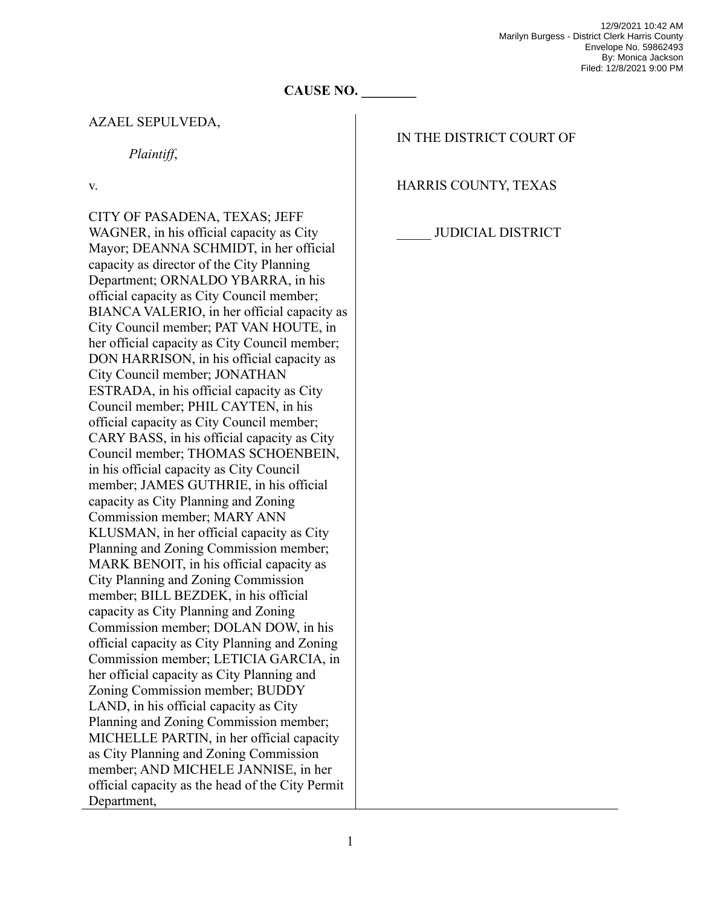## **CAUSE NO. \_\_\_\_\_\_\_\_**

## AZAEL SEPULVEDA,

*Plaintiff*,

v.

CITY OF PASADENA, TEXAS; JEFF WAGNER, in his official capacity as City Mayor; DEANNA SCHMIDT, in her official capacity as director of the City Planning Department; ORNALDO YBARRA, in his official capacity as City Council member; BIANCA VALERIO, in her official capacity as City Council member; PAT VAN HOUTE, in her official capacity as City Council member; DON HARRISON, in his official capacity as City Council member; JONATHAN ESTRADA, in his official capacity as City Council member; PHIL CAYTEN, in his official capacity as City Council member; CARY BASS, in his official capacity as City Council member; THOMAS SCHOENBEIN, in his official capacity as City Council member; JAMES GUTHRIE, in his official capacity as City Planning and Zoning Commission member; MARY ANN KLUSMAN, in her official capacity as City Planning and Zoning Commission member; MARK BENOIT, in his official capacity as City Planning and Zoning Commission member; BILL BEZDEK, in his official capacity as City Planning and Zoning Commission member; DOLAN DOW, in his official capacity as City Planning and Zoning Commission member; LETICIA GARCIA, in her official capacity as City Planning and Zoning Commission member; BUDDY LAND, in his official capacity as City Planning and Zoning Commission member; MICHELLE PARTIN, in her official capacity as City Planning and Zoning Commission member; AND MICHELE JANNISE, in her official capacity as the head of the City Permit Department,

## IN THE DISTRICT COURT OF

HARRIS COUNTY, TEXAS

## JUDICIAL DISTRICT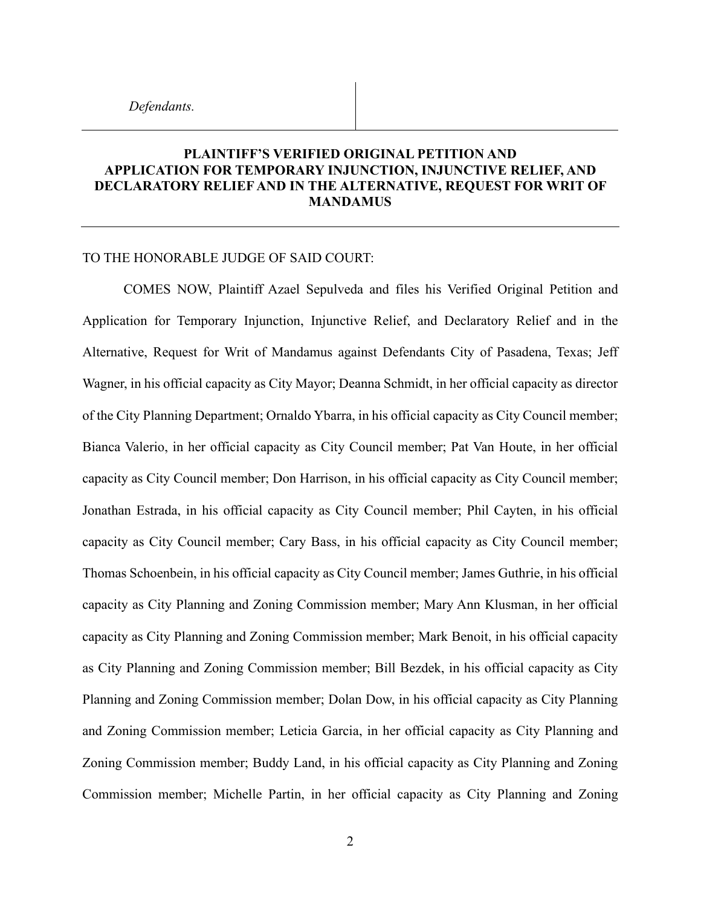## **PLAINTIFF'S VERIFIED ORIGINAL PETITION AND APPLICATION FOR TEMPORARY INJUNCTION, INJUNCTIVE RELIEF, AND DECLARATORY RELIEF AND IN THE ALTERNATIVE, REQUEST FOR WRIT OF MANDAMUS**

## TO THE HONORABLE JUDGE OF SAID COURT:

COMES NOW, Plaintiff Azael Sepulveda and files his Verified Original Petition and Application for Temporary Injunction, Injunctive Relief, and Declaratory Relief and in the Alternative, Request for Writ of Mandamus against Defendants City of Pasadena, Texas; Jeff Wagner, in his official capacity as City Mayor; Deanna Schmidt, in her official capacity as director of the City Planning Department; Ornaldo Ybarra, in his official capacity as City Council member; Bianca Valerio, in her official capacity as City Council member; Pat Van Houte, in her official capacity as City Council member; Don Harrison, in his official capacity as City Council member; Jonathan Estrada, in his official capacity as City Council member; Phil Cayten, in his official capacity as City Council member; Cary Bass, in his official capacity as City Council member; Thomas Schoenbein, in his official capacity as City Council member; James Guthrie, in his official capacity as City Planning and Zoning Commission member; Mary Ann Klusman, in her official capacity as City Planning and Zoning Commission member; Mark Benoit, in his official capacity as City Planning and Zoning Commission member; Bill Bezdek, in his official capacity as City Planning and Zoning Commission member; Dolan Dow, in his official capacity as City Planning and Zoning Commission member; Leticia Garcia, in her official capacity as City Planning and Zoning Commission member; Buddy Land, in his official capacity as City Planning and Zoning Commission member; Michelle Partin, in her official capacity as City Planning and Zoning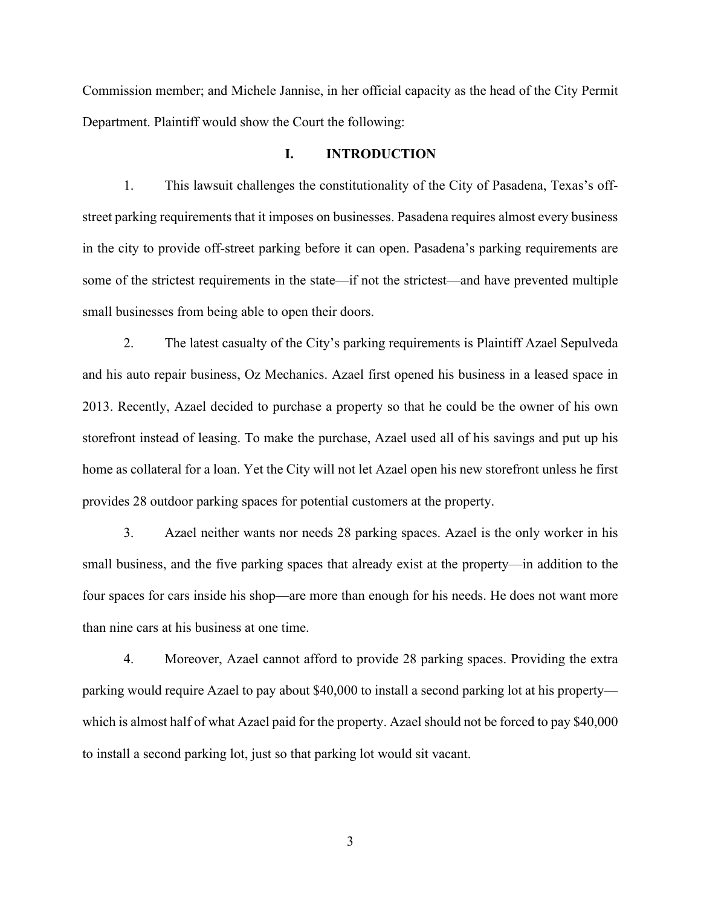Commission member; and Michele Jannise, in her official capacity as the head of the City Permit Department. Plaintiff would show the Court the following:

#### **I. INTRODUCTION**

1. This lawsuit challenges the constitutionality of the City of Pasadena, Texas's offstreet parking requirements that it imposes on businesses. Pasadena requires almost every business in the city to provide off-street parking before it can open. Pasadena's parking requirements are some of the strictest requirements in the state—if not the strictest—and have prevented multiple small businesses from being able to open their doors.

2. The latest casualty of the City's parking requirements is Plaintiff Azael Sepulveda and his auto repair business, Oz Mechanics. Azael first opened his business in a leased space in 2013. Recently, Azael decided to purchase a property so that he could be the owner of his own storefront instead of leasing. To make the purchase, Azael used all of his savings and put up his home as collateral for a loan. Yet the City will not let Azael open his new storefront unless he first provides 28 outdoor parking spaces for potential customers at the property.

3. Azael neither wants nor needs 28 parking spaces. Azael is the only worker in his small business, and the five parking spaces that already exist at the property—in addition to the four spaces for cars inside his shop—are more than enough for his needs. He does not want more than nine cars at his business at one time.

4. Moreover, Azael cannot afford to provide 28 parking spaces. Providing the extra parking would require Azael to pay about \$40,000 to install a second parking lot at his property which is almost half of what Azael paid for the property. Azael should not be forced to pay \$40,000 to install a second parking lot, just so that parking lot would sit vacant.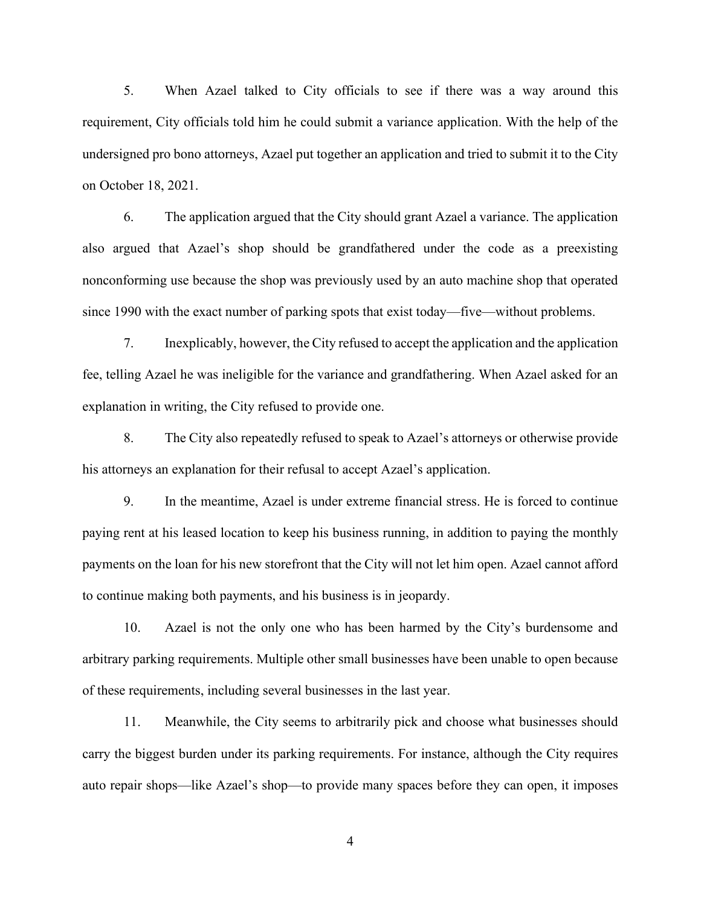5. When Azael talked to City officials to see if there was a way around this requirement, City officials told him he could submit a variance application. With the help of the undersigned pro bono attorneys, Azael put together an application and tried to submit it to the City on October 18, 2021.

6. The application argued that the City should grant Azael a variance. The application also argued that Azael's shop should be grandfathered under the code as a preexisting nonconforming use because the shop was previously used by an auto machine shop that operated since 1990 with the exact number of parking spots that exist today—five—without problems.

7. Inexplicably, however, the City refused to accept the application and the application fee, telling Azael he was ineligible for the variance and grandfathering. When Azael asked for an explanation in writing, the City refused to provide one.

8. The City also repeatedly refused to speak to Azael's attorneys or otherwise provide his attorneys an explanation for their refusal to accept Azael's application.

9. In the meantime, Azael is under extreme financial stress. He is forced to continue paying rent at his leased location to keep his business running, in addition to paying the monthly payments on the loan for his new storefront that the City will not let him open. Azael cannot afford to continue making both payments, and his business is in jeopardy.

10. Azael is not the only one who has been harmed by the City's burdensome and arbitrary parking requirements. Multiple other small businesses have been unable to open because of these requirements, including several businesses in the last year.

11. Meanwhile, the City seems to arbitrarily pick and choose what businesses should carry the biggest burden under its parking requirements. For instance, although the City requires auto repair shops—like Azael's shop—to provide many spaces before they can open, it imposes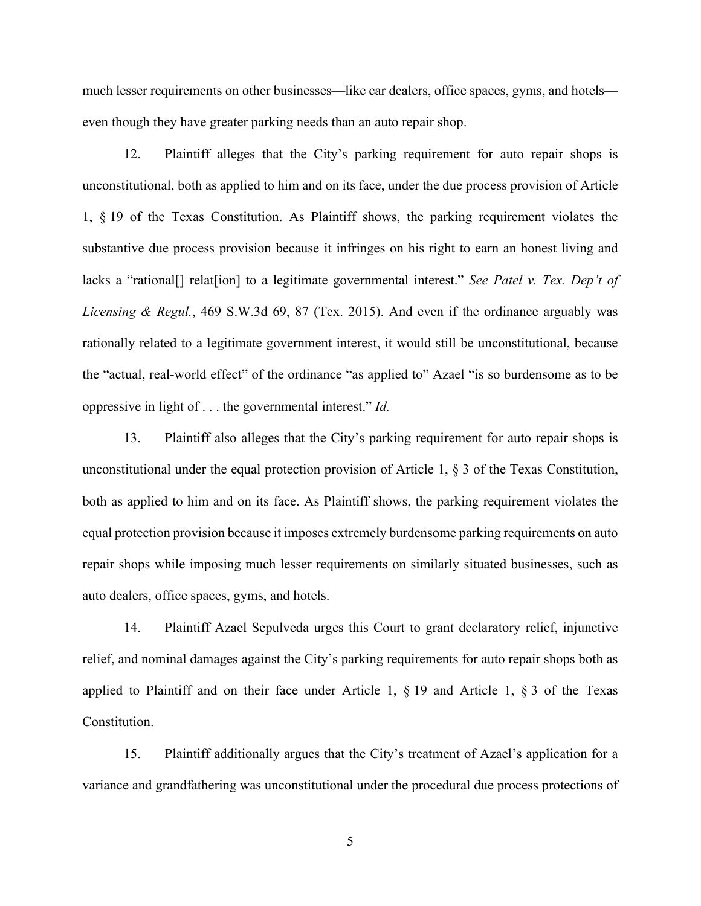much lesser requirements on other businesses—like car dealers, office spaces, gyms, and hotels even though they have greater parking needs than an auto repair shop.

12. Plaintiff alleges that the City's parking requirement for auto repair shops is unconstitutional, both as applied to him and on its face, under the due process provision of Article 1, § 19 of the Texas Constitution. As Plaintiff shows, the parking requirement violates the substantive due process provision because it infringes on his right to earn an honest living and lacks a "rational[] relat[ion] to a legitimate governmental interest." *See Patel v. Tex. Dep't of Licensing & Regul.*, 469 S.W.3d 69, 87 (Tex. 2015). And even if the ordinance arguably was rationally related to a legitimate government interest, it would still be unconstitutional, because the "actual, real-world effect" of the ordinance "as applied to" Azael "is so burdensome as to be oppressive in light of . . . the governmental interest." *Id.*

13. Plaintiff also alleges that the City's parking requirement for auto repair shops is unconstitutional under the equal protection provision of Article 1, § 3 of the Texas Constitution, both as applied to him and on its face. As Plaintiff shows, the parking requirement violates the equal protection provision because it imposes extremely burdensome parking requirements on auto repair shops while imposing much lesser requirements on similarly situated businesses, such as auto dealers, office spaces, gyms, and hotels.

14. Plaintiff Azael Sepulveda urges this Court to grant declaratory relief, injunctive relief, and nominal damages against the City's parking requirements for auto repair shops both as applied to Plaintiff and on their face under Article 1,  $\S$  19 and Article 1,  $\S$  3 of the Texas Constitution.

15. Plaintiff additionally argues that the City's treatment of Azael's application for a variance and grandfathering was unconstitutional under the procedural due process protections of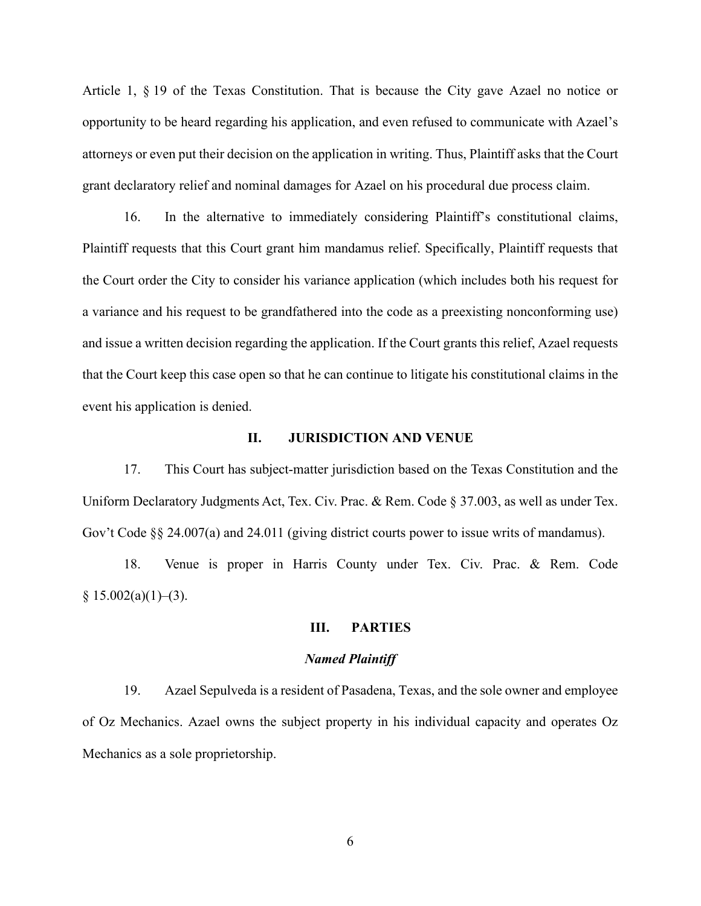Article 1, § 19 of the Texas Constitution. That is because the City gave Azael no notice or opportunity to be heard regarding his application, and even refused to communicate with Azael's attorneys or even put their decision on the application in writing. Thus, Plaintiff asks that the Court grant declaratory relief and nominal damages for Azael on his procedural due process claim.

16. In the alternative to immediately considering Plaintiff's constitutional claims, Plaintiff requests that this Court grant him mandamus relief. Specifically, Plaintiff requests that the Court order the City to consider his variance application (which includes both his request for a variance and his request to be grandfathered into the code as a preexisting nonconforming use) and issue a written decision regarding the application. If the Court grants this relief, Azael requests that the Court keep this case open so that he can continue to litigate his constitutional claims in the event his application is denied.

#### **II. JURISDICTION AND VENUE**

17. This Court has subject-matter jurisdiction based on the Texas Constitution and the Uniform Declaratory Judgments Act, Tex. Civ. Prac. & Rem. Code § 37.003, as well as under Tex. Gov't Code §§ 24.007(a) and 24.011 (giving district courts power to issue writs of mandamus).

18. Venue is proper in Harris County under Tex. Civ. Prac. & Rem. Code  $§ 15.002(a)(1)–(3).$ 

## **III. PARTIES**

#### *Named Plaintiff*

19. Azael Sepulveda is a resident of Pasadena, Texas, and the sole owner and employee of Oz Mechanics. Azael owns the subject property in his individual capacity and operates Oz Mechanics as a sole proprietorship.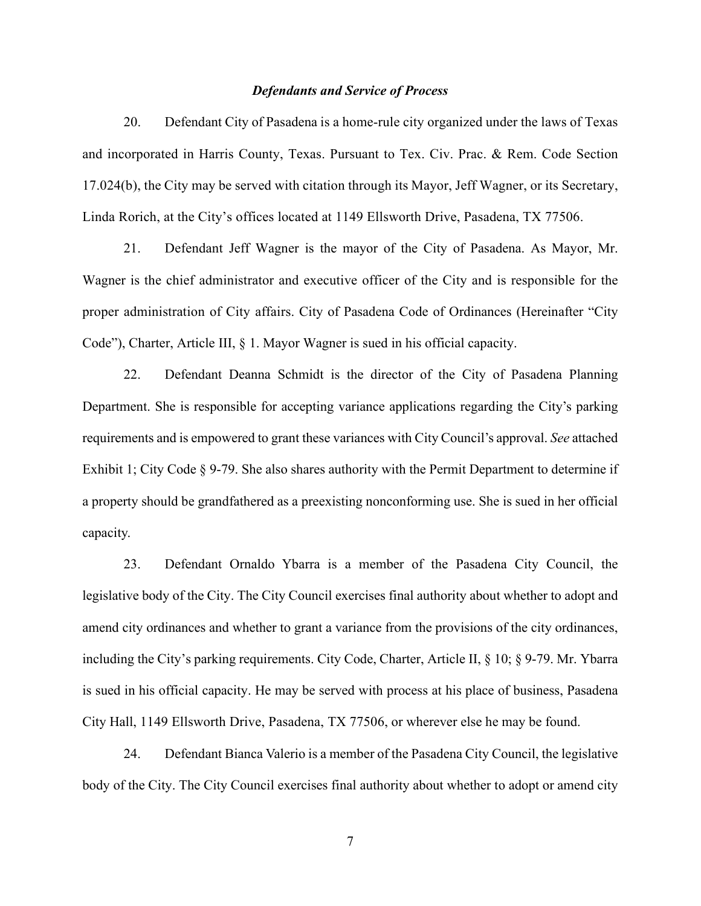#### *Defendants and Service of Process*

20. Defendant City of Pasadena is a home-rule city organized under the laws of Texas and incorporated in Harris County, Texas. Pursuant to Tex. Civ. Prac. & Rem. Code Section 17.024(b), the City may be served with citation through its Mayor, Jeff Wagner, or its Secretary, Linda Rorich, at the City's offices located at 1149 Ellsworth Drive, Pasadena, TX 77506.

21. Defendant Jeff Wagner is the mayor of the City of Pasadena. As Mayor, Mr. Wagner is the chief administrator and executive officer of the City and is responsible for the proper administration of City affairs. City of Pasadena Code of Ordinances (Hereinafter "City Code"), Charter, Article III, § 1. Mayor Wagner is sued in his official capacity.

22. Defendant Deanna Schmidt is the director of the City of Pasadena Planning Department. She is responsible for accepting variance applications regarding the City's parking requirements and is empowered to grant these variances with City Council's approval. *See* attached Exhibit 1; City Code § 9-79. She also shares authority with the Permit Department to determine if a property should be grandfathered as a preexisting nonconforming use. She is sued in her official capacity.

23. Defendant Ornaldo Ybarra is a member of the Pasadena City Council, the legislative body of the City. The City Council exercises final authority about whether to adopt and amend city ordinances and whether to grant a variance from the provisions of the city ordinances, including the City's parking requirements. City Code, Charter, Article II, § 10; § 9-79. Mr. Ybarra is sued in his official capacity. He may be served with process at his place of business, Pasadena City Hall, 1149 Ellsworth Drive, Pasadena, TX 77506, or wherever else he may be found.

24. Defendant Bianca Valerio is a member of the Pasadena City Council, the legislative body of the City. The City Council exercises final authority about whether to adopt or amend city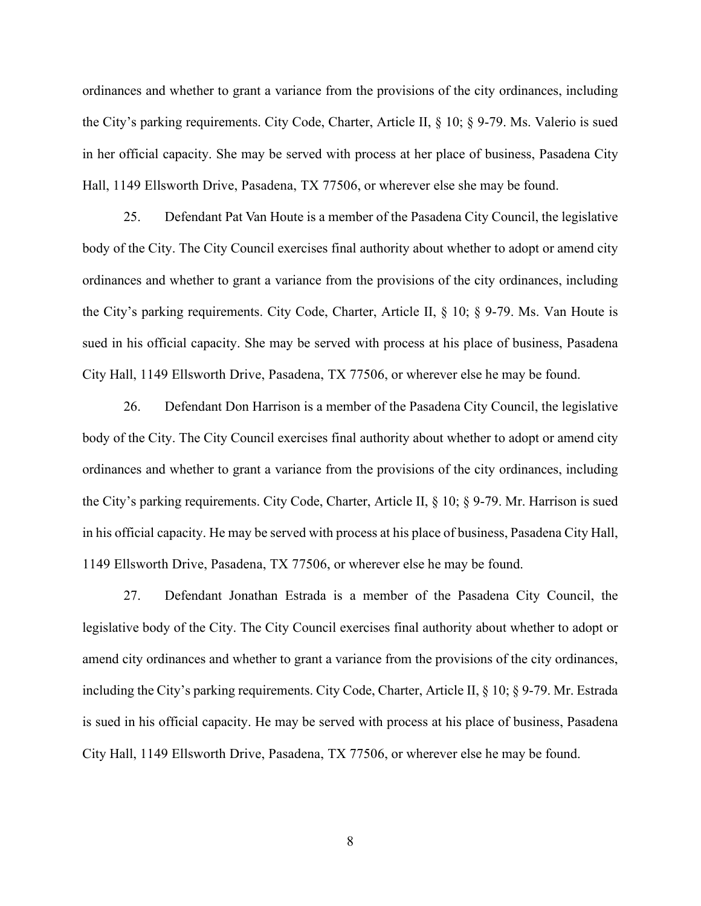ordinances and whether to grant a variance from the provisions of the city ordinances, including the City's parking requirements. City Code, Charter, Article II, § 10; § 9-79. Ms. Valerio is sued in her official capacity. She may be served with process at her place of business, Pasadena City Hall, 1149 Ellsworth Drive, Pasadena, TX 77506, or wherever else she may be found.

25. Defendant Pat Van Houte is a member of the Pasadena City Council, the legislative body of the City. The City Council exercises final authority about whether to adopt or amend city ordinances and whether to grant a variance from the provisions of the city ordinances, including the City's parking requirements. City Code, Charter, Article II, § 10; § 9-79. Ms. Van Houte is sued in his official capacity. She may be served with process at his place of business, Pasadena City Hall, 1149 Ellsworth Drive, Pasadena, TX 77506, or wherever else he may be found.

26. Defendant Don Harrison is a member of the Pasadena City Council, the legislative body of the City. The City Council exercises final authority about whether to adopt or amend city ordinances and whether to grant a variance from the provisions of the city ordinances, including the City's parking requirements. City Code, Charter, Article II, § 10; § 9-79. Mr. Harrison is sued in his official capacity. He may be served with process at his place of business, Pasadena City Hall, 1149 Ellsworth Drive, Pasadena, TX 77506, or wherever else he may be found.

27. Defendant Jonathan Estrada is a member of the Pasadena City Council, the legislative body of the City. The City Council exercises final authority about whether to adopt or amend city ordinances and whether to grant a variance from the provisions of the city ordinances, including the City's parking requirements. City Code, Charter, Article II, § 10; § 9-79. Mr. Estrada is sued in his official capacity. He may be served with process at his place of business, Pasadena City Hall, 1149 Ellsworth Drive, Pasadena, TX 77506, or wherever else he may be found.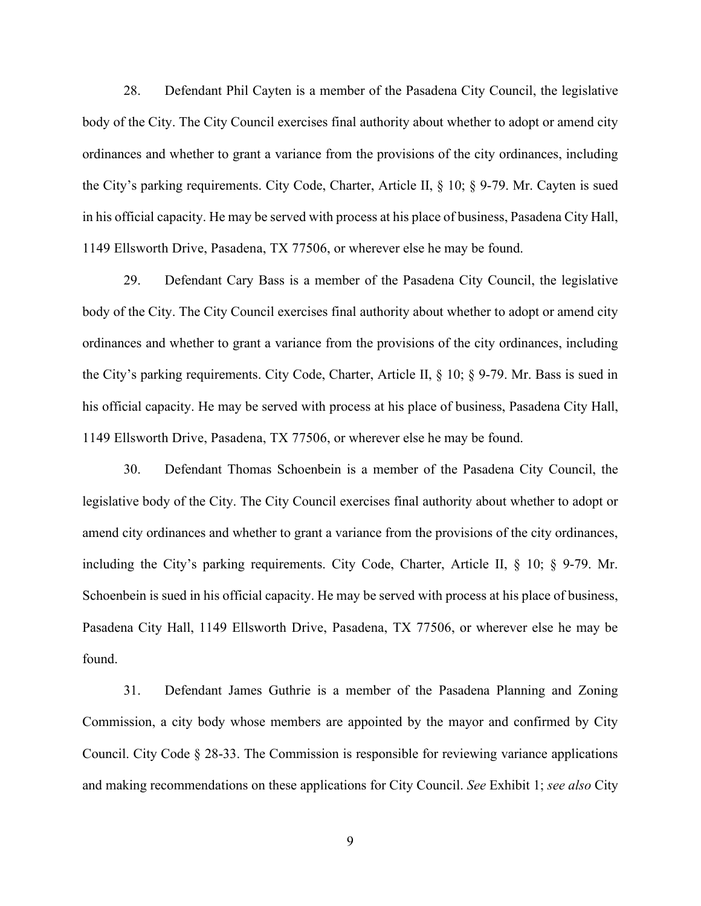28. Defendant Phil Cayten is a member of the Pasadena City Council, the legislative body of the City. The City Council exercises final authority about whether to adopt or amend city ordinances and whether to grant a variance from the provisions of the city ordinances, including the City's parking requirements. City Code, Charter, Article II, § 10; § 9-79. Mr. Cayten is sued in his official capacity. He may be served with process at his place of business, Pasadena City Hall, 1149 Ellsworth Drive, Pasadena, TX 77506, or wherever else he may be found.

29. Defendant Cary Bass is a member of the Pasadena City Council, the legislative body of the City. The City Council exercises final authority about whether to adopt or amend city ordinances and whether to grant a variance from the provisions of the city ordinances, including the City's parking requirements. City Code, Charter, Article II, § 10; § 9-79. Mr. Bass is sued in his official capacity. He may be served with process at his place of business, Pasadena City Hall, 1149 Ellsworth Drive, Pasadena, TX 77506, or wherever else he may be found.

30. Defendant Thomas Schoenbein is a member of the Pasadena City Council, the legislative body of the City. The City Council exercises final authority about whether to adopt or amend city ordinances and whether to grant a variance from the provisions of the city ordinances, including the City's parking requirements. City Code, Charter, Article II, § 10; § 9-79. Mr. Schoenbein is sued in his official capacity. He may be served with process at his place of business, Pasadena City Hall, 1149 Ellsworth Drive, Pasadena, TX 77506, or wherever else he may be found.

31. Defendant James Guthrie is a member of the Pasadena Planning and Zoning Commission, a city body whose members are appointed by the mayor and confirmed by City Council. City Code  $\S 28-33$ . The Commission is responsible for reviewing variance applications and making recommendations on these applications for City Council. *See* Exhibit 1; *see also* City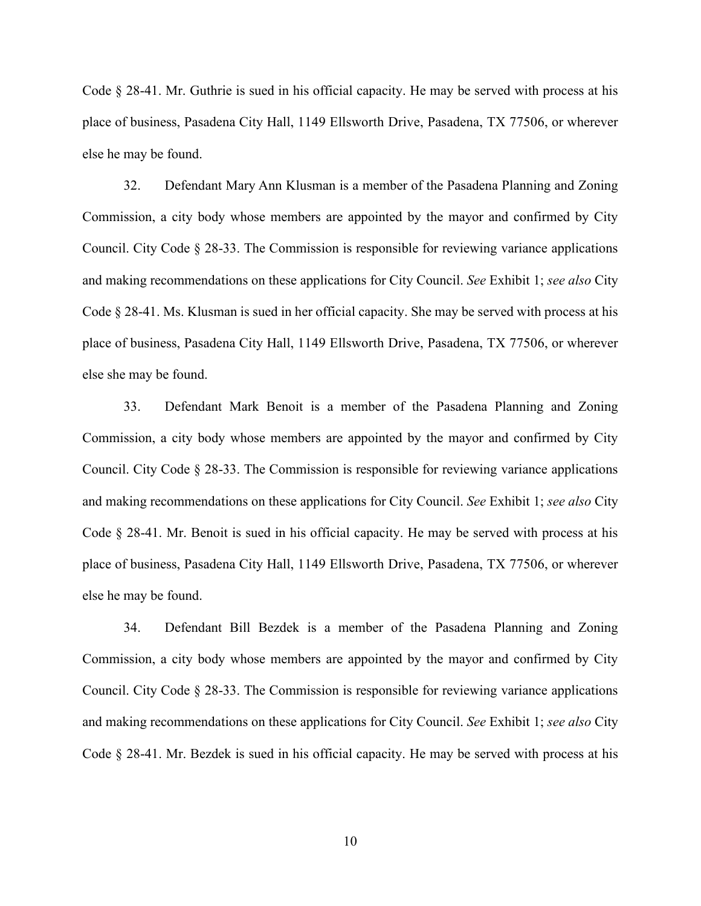Code § 28-41. Mr. Guthrie is sued in his official capacity. He may be served with process at his place of business, Pasadena City Hall, 1149 Ellsworth Drive, Pasadena, TX 77506, or wherever else he may be found.

32. Defendant Mary Ann Klusman is a member of the Pasadena Planning and Zoning Commission, a city body whose members are appointed by the mayor and confirmed by City Council. City Code § 28-33. The Commission is responsible for reviewing variance applications and making recommendations on these applications for City Council. *See* Exhibit 1; *see also* City Code § 28-41. Ms. Klusman is sued in her official capacity. She may be served with process at his place of business, Pasadena City Hall, 1149 Ellsworth Drive, Pasadena, TX 77506, or wherever else she may be found.

33. Defendant Mark Benoit is a member of the Pasadena Planning and Zoning Commission, a city body whose members are appointed by the mayor and confirmed by City Council. City Code § 28-33. The Commission is responsible for reviewing variance applications and making recommendations on these applications for City Council. *See* Exhibit 1; *see also* City Code § 28-41. Mr. Benoit is sued in his official capacity. He may be served with process at his place of business, Pasadena City Hall, 1149 Ellsworth Drive, Pasadena, TX 77506, or wherever else he may be found.

34. Defendant Bill Bezdek is a member of the Pasadena Planning and Zoning Commission, a city body whose members are appointed by the mayor and confirmed by City Council. City Code § 28-33. The Commission is responsible for reviewing variance applications and making recommendations on these applications for City Council. *See* Exhibit 1; *see also* City Code § 28-41. Mr. Bezdek is sued in his official capacity. He may be served with process at his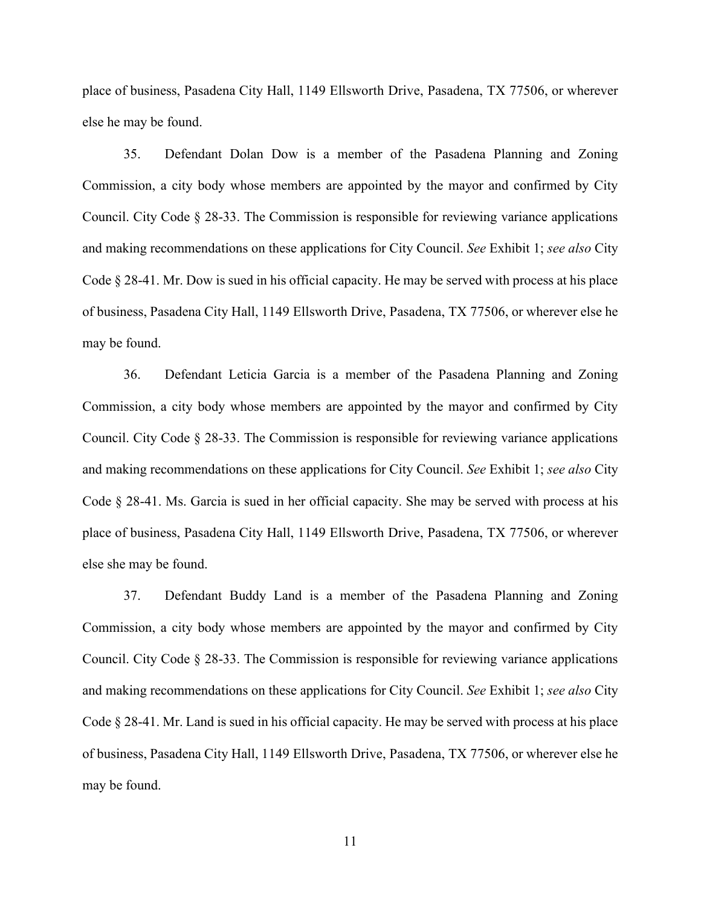place of business, Pasadena City Hall, 1149 Ellsworth Drive, Pasadena, TX 77506, or wherever else he may be found.

35. Defendant Dolan Dow is a member of the Pasadena Planning and Zoning Commission, a city body whose members are appointed by the mayor and confirmed by City Council. City Code  $\S 28-33$ . The Commission is responsible for reviewing variance applications and making recommendations on these applications for City Council. *See* Exhibit 1; *see also* City Code § 28-41. Mr. Dow is sued in his official capacity. He may be served with process at his place of business, Pasadena City Hall, 1149 Ellsworth Drive, Pasadena, TX 77506, or wherever else he may be found.

36. Defendant Leticia Garcia is a member of the Pasadena Planning and Zoning Commission, a city body whose members are appointed by the mayor and confirmed by City Council. City Code  $\S 28-33$ . The Commission is responsible for reviewing variance applications and making recommendations on these applications for City Council. *See* Exhibit 1; *see also* City Code § 28-41. Ms. Garcia is sued in her official capacity. She may be served with process at his place of business, Pasadena City Hall, 1149 Ellsworth Drive, Pasadena, TX 77506, or wherever else she may be found.

37. Defendant Buddy Land is a member of the Pasadena Planning and Zoning Commission, a city body whose members are appointed by the mayor and confirmed by City Council. City Code  $\S 28-33$ . The Commission is responsible for reviewing variance applications and making recommendations on these applications for City Council. *See* Exhibit 1; *see also* City Code § 28-41. Mr. Land is sued in his official capacity. He may be served with process at his place of business, Pasadena City Hall, 1149 Ellsworth Drive, Pasadena, TX 77506, or wherever else he may be found.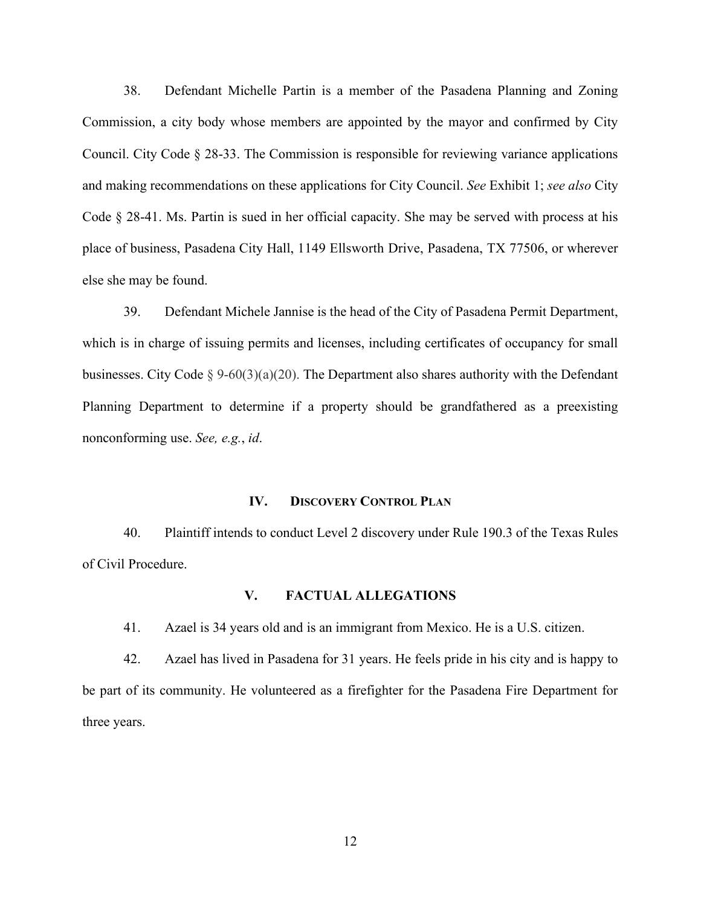38. Defendant Michelle Partin is a member of the Pasadena Planning and Zoning Commission, a city body whose members are appointed by the mayor and confirmed by City Council. City Code § 28-33. The Commission is responsible for reviewing variance applications and making recommendations on these applications for City Council. *See* Exhibit 1; *see also* City Code § 28-41. Ms. Partin is sued in her official capacity. She may be served with process at his place of business, Pasadena City Hall, 1149 Ellsworth Drive, Pasadena, TX 77506, or wherever else she may be found.

39. Defendant Michele Jannise is the head of the City of Pasadena Permit Department, which is in charge of issuing permits and licenses, including certificates of occupancy for small businesses. City Code § 9-60(3)(a)(20). The Department also shares authority with the Defendant Planning Department to determine if a property should be grandfathered as a preexisting nonconforming use. *See, e.g.*, *id*.

## **IV. DISCOVERY CONTROL PLAN**

40. Plaintiff intends to conduct Level 2 discovery under Rule 190.3 of the Texas Rules of Civil Procedure.

#### **V. FACTUAL ALLEGATIONS**

41. Azael is 34 years old and is an immigrant from Mexico. He is a U.S. citizen.

42. Azael has lived in Pasadena for 31 years. He feels pride in his city and is happy to be part of its community. He volunteered as a firefighter for the Pasadena Fire Department for three years.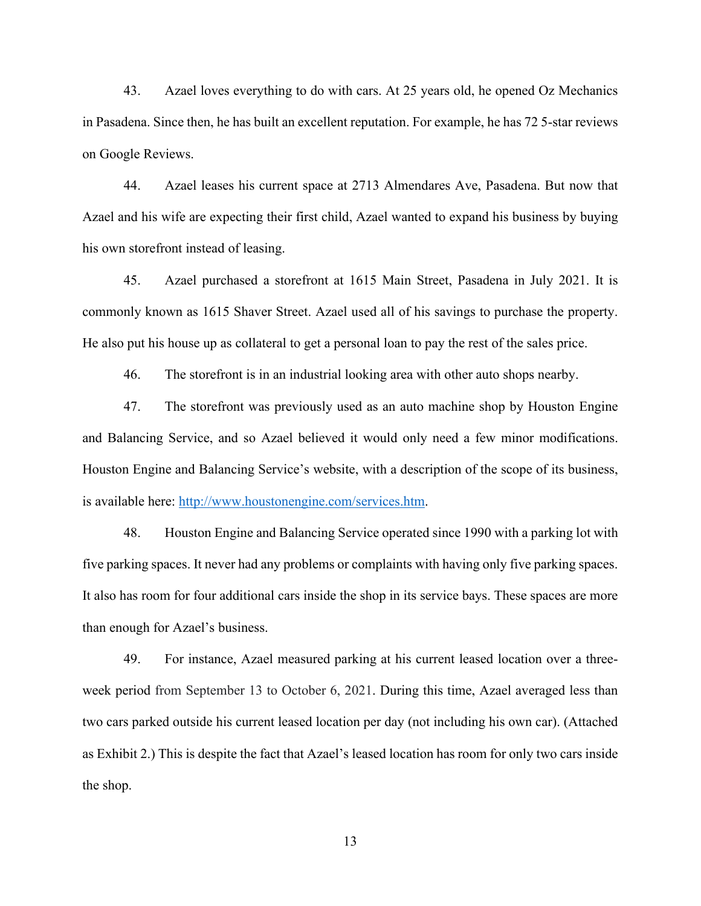43. Azael loves everything to do with cars. At 25 years old, he opened Oz Mechanics in Pasadena. Since then, he has built an excellent reputation. For example, he has 72 5-star reviews on Google Reviews.

44. Azael leases his current space at 2713 Almendares Ave, Pasadena. But now that Azael and his wife are expecting their first child, Azael wanted to expand his business by buying his own storefront instead of leasing.

45. Azael purchased a storefront at 1615 Main Street, Pasadena in July 2021. It is commonly known as 1615 Shaver Street. Azael used all of his savings to purchase the property. He also put his house up as collateral to get a personal loan to pay the rest of the sales price.

46. The storefront is in an industrial looking area with other auto shops nearby.

47. The storefront was previously used as an auto machine shop by Houston Engine and Balancing Service, and so Azael believed it would only need a few minor modifications. Houston Engine and Balancing Service's website, with a description of the scope of its business, is available here: [http://www.houstonengine.com/services.htm.](http://www.houstonengine.com/services.htm)

48. Houston Engine and Balancing Service operated since 1990 with a parking lot with five parking spaces. It never had any problems or complaints with having only five parking spaces. It also has room for four additional cars inside the shop in its service bays. These spaces are more than enough for Azael's business.

49. For instance, Azael measured parking at his current leased location over a threeweek period from September 13 to October 6, 2021. During this time, Azael averaged less than two cars parked outside his current leased location per day (not including his own car). (Attached as Exhibit 2.) This is despite the fact that Azael's leased location has room for only two cars inside the shop.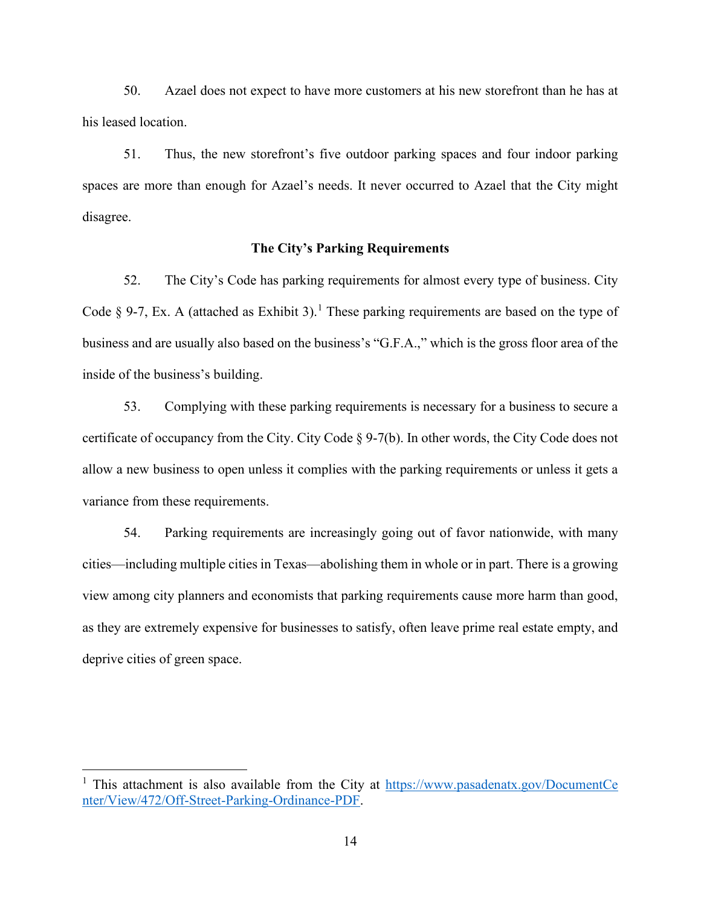50. Azael does not expect to have more customers at his new storefront than he has at his leased location.

51. Thus, the new storefront's five outdoor parking spaces and four indoor parking spaces are more than enough for Azael's needs. It never occurred to Azael that the City might disagree.

## **The City's Parking Requirements**

52. The City's Code has parking requirements for almost every type of business. City Code  $\S$  9-7, Ex. A (attached as Exhibit 3).<sup>[1](#page-13-0)</sup> These parking requirements are based on the type of business and are usually also based on the business's "G.F.A.," which is the gross floor area of the inside of the business's building.

53. Complying with these parking requirements is necessary for a business to secure a certificate of occupancy from the City. City Code  $\S 9-7(b)$ . In other words, the City Code does not allow a new business to open unless it complies with the parking requirements or unless it gets a variance from these requirements.

54. Parking requirements are increasingly going out of favor nationwide, with many cities—including multiple cities in Texas—abolishing them in whole or in part. There is a growing view among city planners and economists that parking requirements cause more harm than good, as they are extremely expensive for businesses to satisfy, often leave prime real estate empty, and deprive cities of green space.

<span id="page-13-0"></span><sup>&</sup>lt;sup>1</sup> This attachment is also available from the City at  $\frac{https://www.pasadenatx.gov/DocumentCe}{https://www.pasadenatx.gov/DocumentCe}$ [nter/View/472/Off-Street-Parking-Ordinance-PDF.](https://www.pasadenatx.gov/DocumentCenter/View/472/Off-Street-Parking-Ordinance-PDF)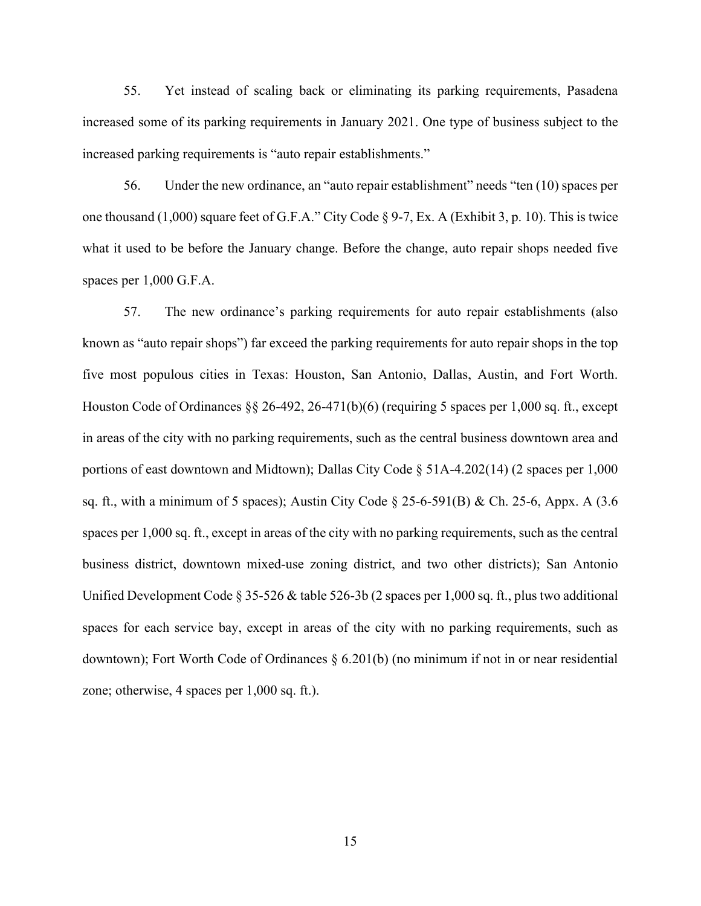55. Yet instead of scaling back or eliminating its parking requirements, Pasadena increased some of its parking requirements in January 2021. One type of business subject to the increased parking requirements is "auto repair establishments."

56. Under the new ordinance, an "auto repair establishment" needs "ten (10) spaces per one thousand (1,000) square feet of G.F.A." City Code § 9-7, Ex. A (Exhibit 3, p. 10). This is twice what it used to be before the January change. Before the change, auto repair shops needed five spaces per 1,000 G.F.A.

57. The new ordinance's parking requirements for auto repair establishments (also known as "auto repair shops") far exceed the parking requirements for auto repair shops in the top five most populous cities in Texas: Houston, San Antonio, Dallas, Austin, and Fort Worth. Houston Code of Ordinances  $\S$  26-492, 26-471(b)(6) (requiring 5 spaces per 1,000 sq. ft., except in areas of the city with no parking requirements, such as the central business downtown area and portions of east downtown and Midtown); Dallas City Code § 51A-4.202(14) (2 spaces per 1,000 sq. ft., with a minimum of 5 spaces); Austin City Code  $\S 25-6-591(B)$  & Ch. 25-6, Appx. A (3.6) spaces per 1,000 sq. ft., except in areas of the city with no parking requirements, such as the central business district, downtown mixed-use zoning district, and two other districts); San Antonio Unified Development Code  $\S 35-526 \&$  table 526-3b (2 spaces per 1,000 sq. ft., plus two additional spaces for each service bay, except in areas of the city with no parking requirements, such as downtown); Fort Worth Code of Ordinances  $\S 6.201(b)$  (no minimum if not in or near residential zone; otherwise, 4 spaces per 1,000 sq. ft.).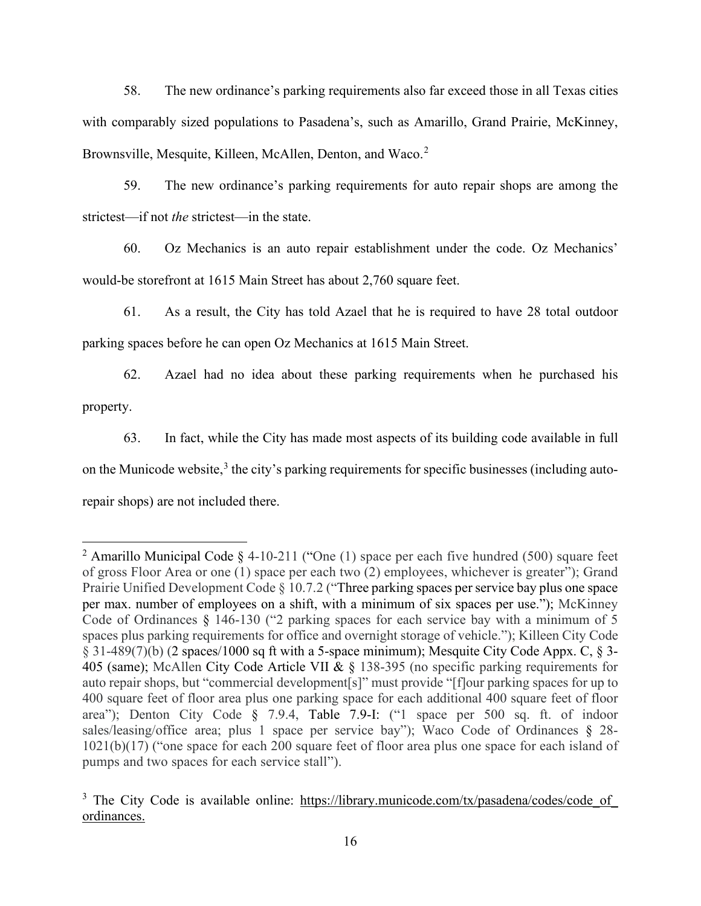58. The new ordinance's parking requirements also far exceed those in all Texas cities with comparably sized populations to Pasadena's, such as Amarillo, Grand Prairie, McKinney, Brownsville, Mesquite, Killeen, McAllen, Denton, and Waco.<sup>[2](#page-15-0)</sup>

59. The new ordinance's parking requirements for auto repair shops are among the strictest—if not *the* strictest—in the state.

60. Oz Mechanics is an auto repair establishment under the code. Oz Mechanics' would-be storefront at 1615 Main Street has about 2,760 square feet.

61. As a result, the City has told Azael that he is required to have 28 total outdoor parking spaces before he can open Oz Mechanics at 1615 Main Street.

62. Azael had no idea about these parking requirements when he purchased his property.

63. In fact, while the City has made most aspects of its building code available in full on the Municode website,<sup>[3](#page-15-1)</sup> the city's parking requirements for specific businesses (including autorepair shops) are not included there.

<span id="page-15-0"></span><sup>&</sup>lt;sup>2</sup> Amarillo Municipal Code  $\S$  4-10-211 ("One (1) space per each five hundred (500) square feet of gross Floor Area or one (1) space per each two (2) employees, whichever is greater"); Grand Prairie Unified Development Code § 10.7.2 ("Three parking spaces per service bay plus one space per max. number of employees on a shift, with a minimum of six spaces per use."); McKinney Code of Ordinances § 146-130 ("2 parking spaces for each service bay with a minimum of 5 spaces plus parking requirements for office and overnight storage of vehicle."); Killeen City Code § 31-489(7)(b) (2 spaces/1000 sq ft with a 5-space minimum); Mesquite City Code Appx. C, § 3- 405 (same); McAllen City Code Article VII & § 138-395 (no specific parking requirements for auto repair shops, but "commercial development[s]" must provide "[f]our parking spaces for up to 400 square feet of floor area plus one parking space for each additional 400 square feet of floor area"); Denton City Code § 7.9.4, Table 7.9-I: ("1 space per 500 sq. ft. of indoor sales/leasing/office area; plus 1 space per service bay"); Waco Code of Ordinances § 28-1021(b)(17) ("one space for each 200 square feet of floor area plus one space for each island of pumps and two spaces for each service stall").

<span id="page-15-1"></span><sup>&</sup>lt;sup>3</sup> The City Code is available online: https://library.municode.com/tx/pasadena/codes/code of [ordinances.](https://library.municode.com/tx/pasadena/codes/code_of_ordinances)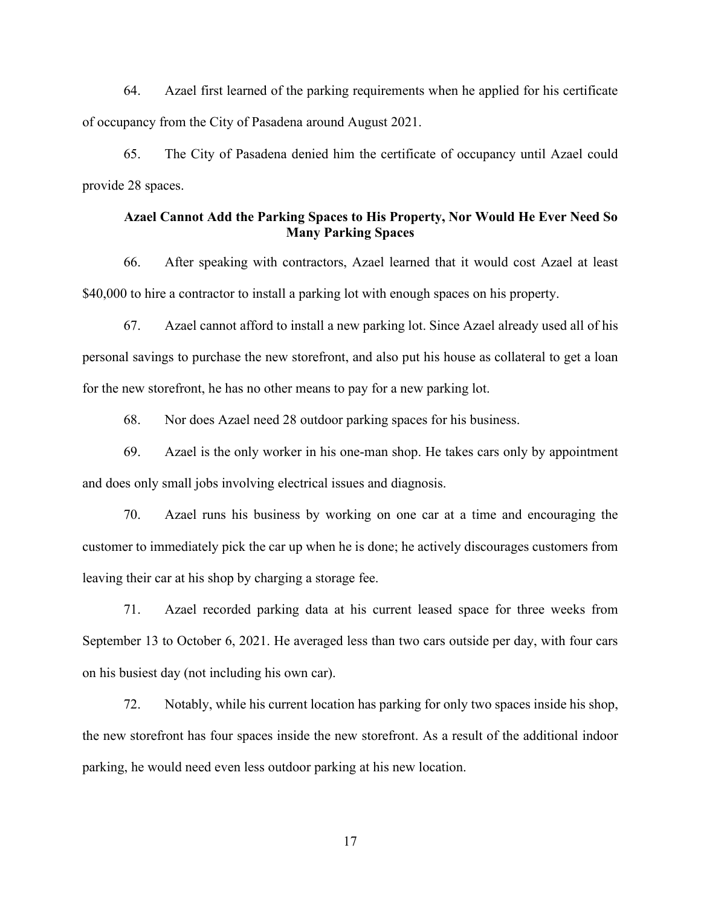64. Azael first learned of the parking requirements when he applied for his certificate of occupancy from the City of Pasadena around August 2021.

65. The City of Pasadena denied him the certificate of occupancy until Azael could provide 28 spaces.

## **Azael Cannot Add the Parking Spaces to His Property, Nor Would He Ever Need So Many Parking Spaces**

66. After speaking with contractors, Azael learned that it would cost Azael at least \$40,000 to hire a contractor to install a parking lot with enough spaces on his property.

67. Azael cannot afford to install a new parking lot. Since Azael already used all of his personal savings to purchase the new storefront, and also put his house as collateral to get a loan for the new storefront, he has no other means to pay for a new parking lot.

68. Nor does Azael need 28 outdoor parking spaces for his business.

69. Azael is the only worker in his one-man shop. He takes cars only by appointment and does only small jobs involving electrical issues and diagnosis.

70. Azael runs his business by working on one car at a time and encouraging the customer to immediately pick the car up when he is done; he actively discourages customers from leaving their car at his shop by charging a storage fee.

71. Azael recorded parking data at his current leased space for three weeks from September 13 to October 6, 2021. He averaged less than two cars outside per day, with four cars on his busiest day (not including his own car).

72. Notably, while his current location has parking for only two spaces inside his shop, the new storefront has four spaces inside the new storefront. As a result of the additional indoor parking, he would need even less outdoor parking at his new location.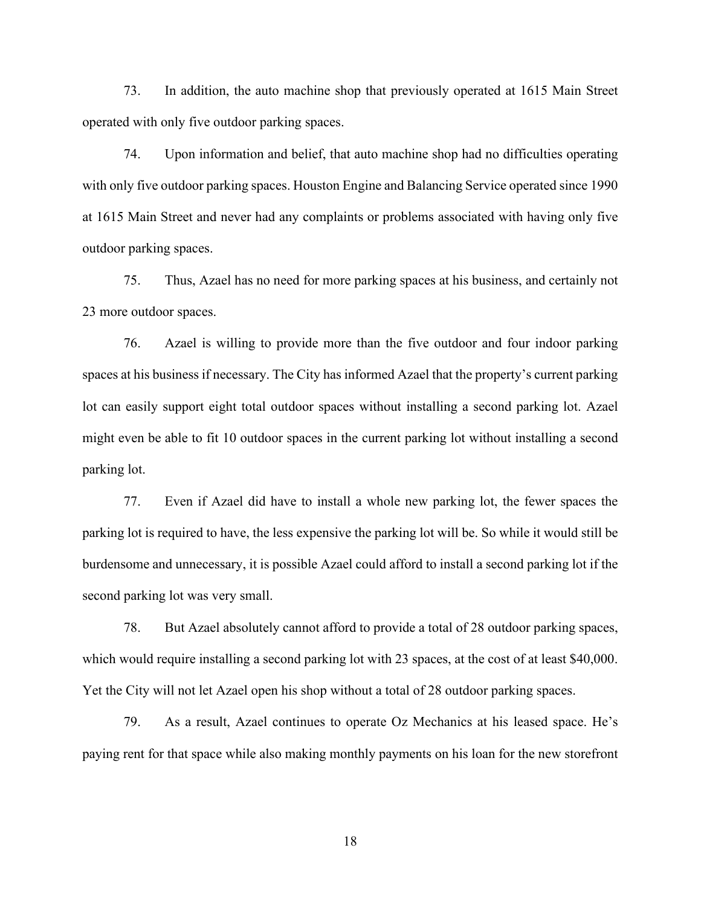73. In addition, the auto machine shop that previously operated at 1615 Main Street operated with only five outdoor parking spaces.

74. Upon information and belief, that auto machine shop had no difficulties operating with only five outdoor parking spaces. Houston Engine and Balancing Service operated since 1990 at 1615 Main Street and never had any complaints or problems associated with having only five outdoor parking spaces.

75. Thus, Azael has no need for more parking spaces at his business, and certainly not 23 more outdoor spaces.

76. Azael is willing to provide more than the five outdoor and four indoor parking spaces at his business if necessary. The City has informed Azael that the property's current parking lot can easily support eight total outdoor spaces without installing a second parking lot. Azael might even be able to fit 10 outdoor spaces in the current parking lot without installing a second parking lot.

77. Even if Azael did have to install a whole new parking lot, the fewer spaces the parking lot is required to have, the less expensive the parking lot will be. So while it would still be burdensome and unnecessary, it is possible Azael could afford to install a second parking lot if the second parking lot was very small.

78. But Azael absolutely cannot afford to provide a total of 28 outdoor parking spaces, which would require installing a second parking lot with 23 spaces, at the cost of at least \$40,000. Yet the City will not let Azael open his shop without a total of 28 outdoor parking spaces.

79. As a result, Azael continues to operate Oz Mechanics at his leased space. He's paying rent for that space while also making monthly payments on his loan for the new storefront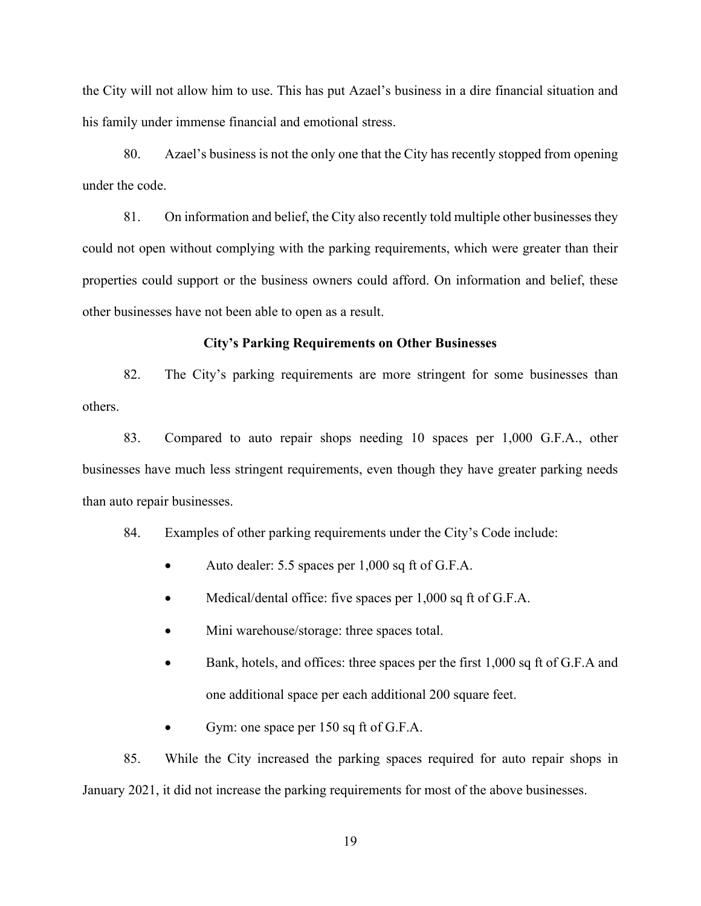the City will not allow him to use. This has put Azael's business in a dire financial situation and his family under immense financial and emotional stress.

80. Azael's business is not the only one that the City has recently stopped from opening under the code.

81. On information and belief, the City also recently told multiple other businesses they could not open without complying with the parking requirements, which were greater than their properties could support or the business owners could afford. On information and belief, these other businesses have not been able to open as a result.

### **City's Parking Requirements on Other Businesses**

82. The City's parking requirements are more stringent for some businesses than others.

83. Compared to auto repair shops needing 10 spaces per 1,000 G.F.A., other businesses have much less stringent requirements, even though they have greater parking needs than auto repair businesses.

84. Examples of other parking requirements under the City's Code include:

- Auto dealer: 5.5 spaces per 1,000 sq ft of G.F.A.
- Medical/dental office: five spaces per 1,000 sq ft of G.F.A.
- Mini warehouse/storage: three spaces total.
- Bank, hotels, and offices: three spaces per the first 1,000 sq ft of G.F.A and one additional space per each additional 200 square feet.
- Gym: one space per 150 sq ft of G.F.A.

85. While the City increased the parking spaces required for auto repair shops in January 2021, it did not increase the parking requirements for most of the above businesses.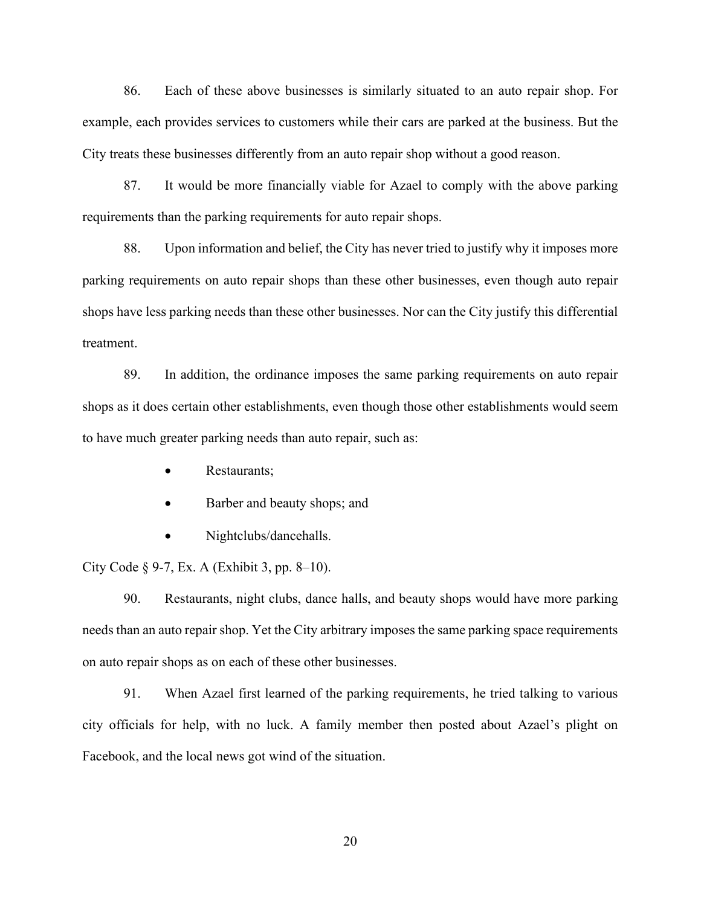86. Each of these above businesses is similarly situated to an auto repair shop. For example, each provides services to customers while their cars are parked at the business. But the City treats these businesses differently from an auto repair shop without a good reason.

87. It would be more financially viable for Azael to comply with the above parking requirements than the parking requirements for auto repair shops.

88. Upon information and belief, the City has never tried to justify why it imposes more parking requirements on auto repair shops than these other businesses, even though auto repair shops have less parking needs than these other businesses. Nor can the City justify this differential treatment.

89. In addition, the ordinance imposes the same parking requirements on auto repair shops as it does certain other establishments, even though those other establishments would seem to have much greater parking needs than auto repair, such as:

- Restaurants;
- Barber and beauty shops; and
- Nightclubs/dancehalls.

City Code  $\S$  9-7, Ex. A (Exhibit 3, pp. 8–10).

90. Restaurants, night clubs, dance halls, and beauty shops would have more parking needs than an auto repair shop. Yet the City arbitrary imposes the same parking space requirements on auto repair shops as on each of these other businesses.

91. When Azael first learned of the parking requirements, he tried talking to various city officials for help, with no luck. A family member then posted about Azael's plight on Facebook, and the local news got wind of the situation.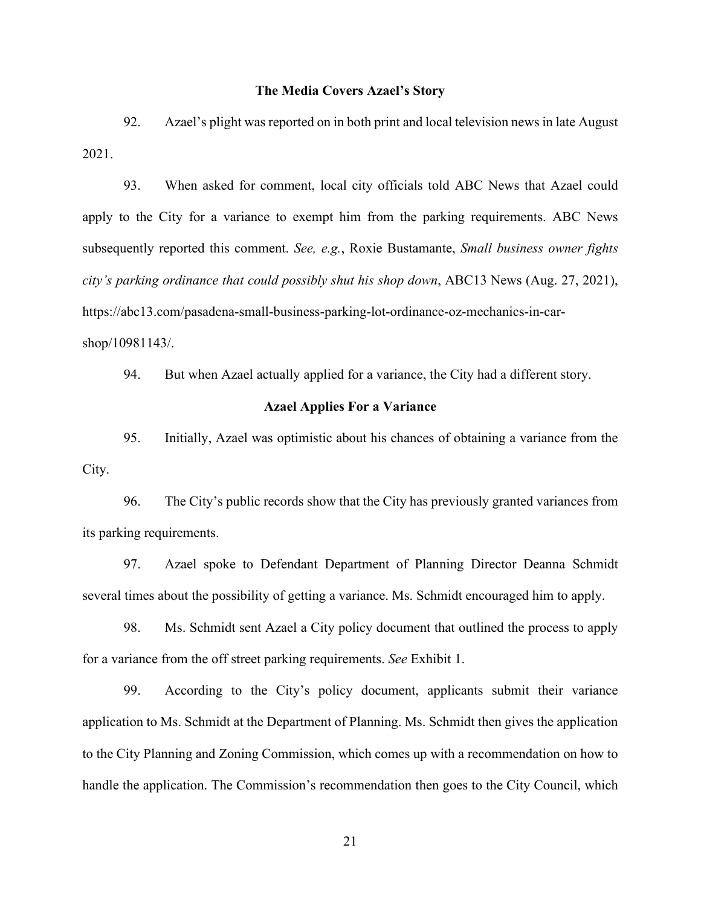### **The Media Covers Azael's Story**

92. Azael's plight was reported on in both print and local television news in late August 2021.

93. When asked for comment, local city officials told ABC News that Azael could apply to the City for a variance to exempt him from the parking requirements. ABC News subsequently reported this comment. *See, e.g.*, Roxie Bustamante, *Small business owner fights city's parking ordinance that could possibly shut his shop down*, ABC13 News (Aug. 27, 2021), https://abc13.com/pasadena-small-business-parking-lot-ordinance-oz-mechanics-in-carshop/10981143/.

94. But when Azael actually applied for a variance, the City had a different story.

### **Azael Applies For a Variance**

95. Initially, Azael was optimistic about his chances of obtaining a variance from the City.

96. The City's public records show that the City has previously granted variances from its parking requirements.

97. Azael spoke to Defendant Department of Planning Director Deanna Schmidt several times about the possibility of getting a variance. Ms. Schmidt encouraged him to apply.

98. Ms. Schmidt sent Azael a City policy document that outlined the process to apply for a variance from the off street parking requirements. *See* Exhibit 1.

99. According to the City's policy document, applicants submit their variance application to Ms. Schmidt at the Department of Planning. Ms. Schmidt then gives the application to the City Planning and Zoning Commission, which comes up with a recommendation on how to handle the application. The Commission's recommendation then goes to the City Council, which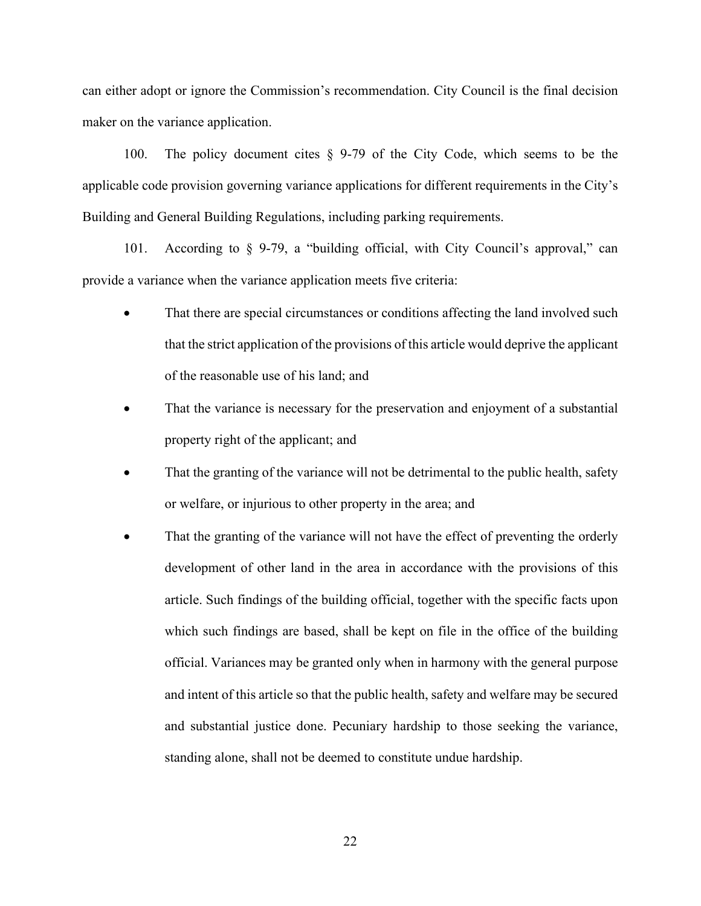can either adopt or ignore the Commission's recommendation. City Council is the final decision maker on the variance application.

100. The policy document cites § 9-79 of the City Code, which seems to be the applicable code provision governing variance applications for different requirements in the City's Building and General Building Regulations, including parking requirements.

101. According to § 9-79, a "building official, with City Council's approval," can provide a variance when the variance application meets five criteria:

- That there are special circumstances or conditions affecting the land involved such that the strict application of the provisions of this article would deprive the applicant of the reasonable use of his land; and
- That the variance is necessary for the preservation and enjoyment of a substantial property right of the applicant; and
- That the granting of the variance will not be detrimental to the public health, safety or welfare, or injurious to other property in the area; and
- That the granting of the variance will not have the effect of preventing the orderly development of other land in the area in accordance with the provisions of this article. Such findings of the building official, together with the specific facts upon which such findings are based, shall be kept on file in the office of the building official. Variances may be granted only when in harmony with the general purpose and intent of this article so that the public health, safety and welfare may be secured and substantial justice done. Pecuniary hardship to those seeking the variance, standing alone, shall not be deemed to constitute undue hardship.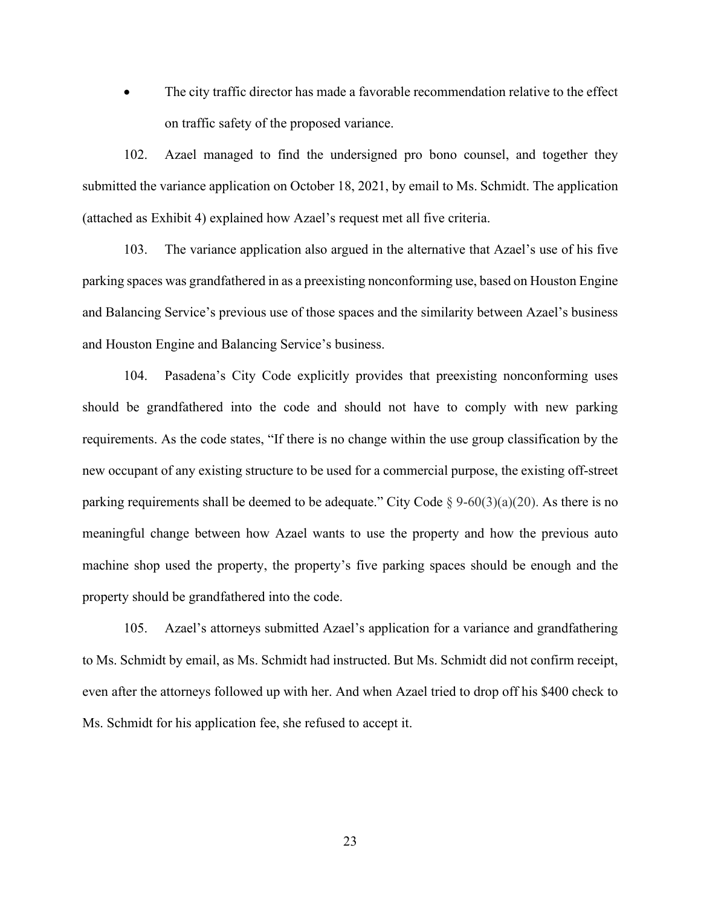The city traffic director has made a favorable recommendation relative to the effect on traffic safety of the proposed variance.

102. Azael managed to find the undersigned pro bono counsel, and together they submitted the variance application on October 18, 2021, by email to Ms. Schmidt. The application (attached as Exhibit 4) explained how Azael's request met all five criteria.

103. The variance application also argued in the alternative that Azael's use of his five parking spaces was grandfathered in as a preexisting nonconforming use, based on Houston Engine and Balancing Service's previous use of those spaces and the similarity between Azael's business and Houston Engine and Balancing Service's business.

104. Pasadena's City Code explicitly provides that preexisting nonconforming uses should be grandfathered into the code and should not have to comply with new parking requirements. As the code states, "If there is no change within the use group classification by the new occupant of any existing structure to be used for a commercial purpose, the existing off-street parking requirements shall be deemed to be adequate." City Code  $\S 9-60(3)(a)(20)$ . As there is no meaningful change between how Azael wants to use the property and how the previous auto machine shop used the property, the property's five parking spaces should be enough and the property should be grandfathered into the code.

105. Azael's attorneys submitted Azael's application for a variance and grandfathering to Ms. Schmidt by email, as Ms. Schmidt had instructed. But Ms. Schmidt did not confirm receipt, even after the attorneys followed up with her. And when Azael tried to drop off his \$400 check to Ms. Schmidt for his application fee, she refused to accept it.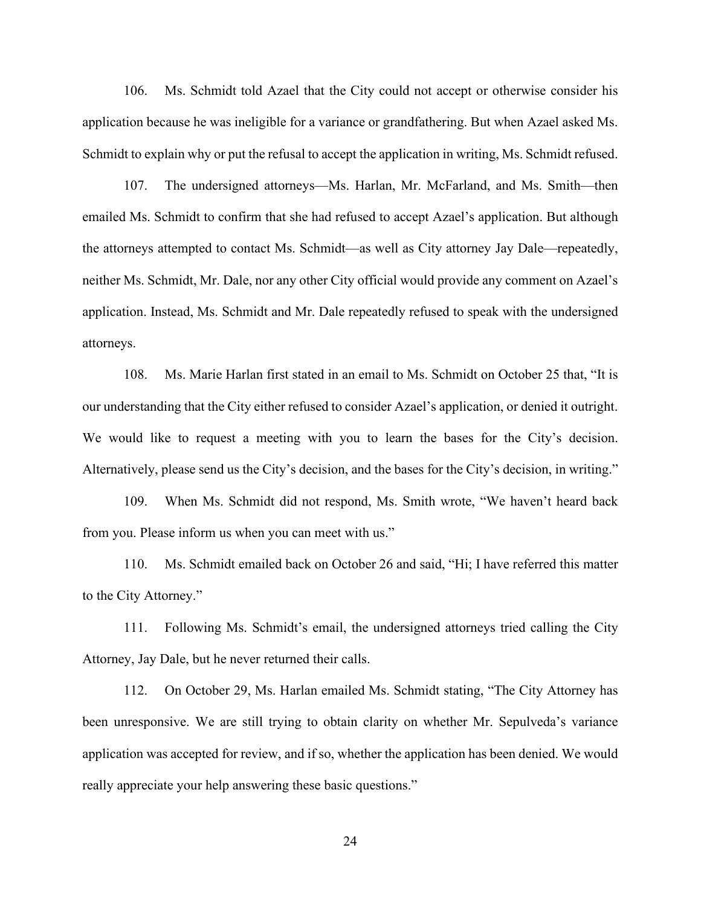106. Ms. Schmidt told Azael that the City could not accept or otherwise consider his application because he was ineligible for a variance or grandfathering. But when Azael asked Ms. Schmidt to explain why or put the refusal to accept the application in writing, Ms. Schmidt refused.

107. The undersigned attorneys—Ms. Harlan, Mr. McFarland, and Ms. Smith—then emailed Ms. Schmidt to confirm that she had refused to accept Azael's application. But although the attorneys attempted to contact Ms. Schmidt—as well as City attorney Jay Dale—repeatedly, neither Ms. Schmidt, Mr. Dale, nor any other City official would provide any comment on Azael's application. Instead, Ms. Schmidt and Mr. Dale repeatedly refused to speak with the undersigned attorneys.

108. Ms. Marie Harlan first stated in an email to Ms. Schmidt on October 25 that, "It is our understanding that the City either refused to consider Azael's application, or denied it outright. We would like to request a meeting with you to learn the bases for the City's decision. Alternatively, please send us the City's decision, and the bases for the City's decision, in writing."

109. When Ms. Schmidt did not respond, Ms. Smith wrote, "We haven't heard back from you. Please inform us when you can meet with us."

110. Ms. Schmidt emailed back on October 26 and said, "Hi; I have referred this matter to the City Attorney."

111. Following Ms. Schmidt's email, the undersigned attorneys tried calling the City Attorney, Jay Dale, but he never returned their calls.

112. On October 29, Ms. Harlan emailed Ms. Schmidt stating, "The City Attorney has been unresponsive. We are still trying to obtain clarity on whether Mr. Sepulveda's variance application was accepted for review, and if so, whether the application has been denied. We would really appreciate your help answering these basic questions."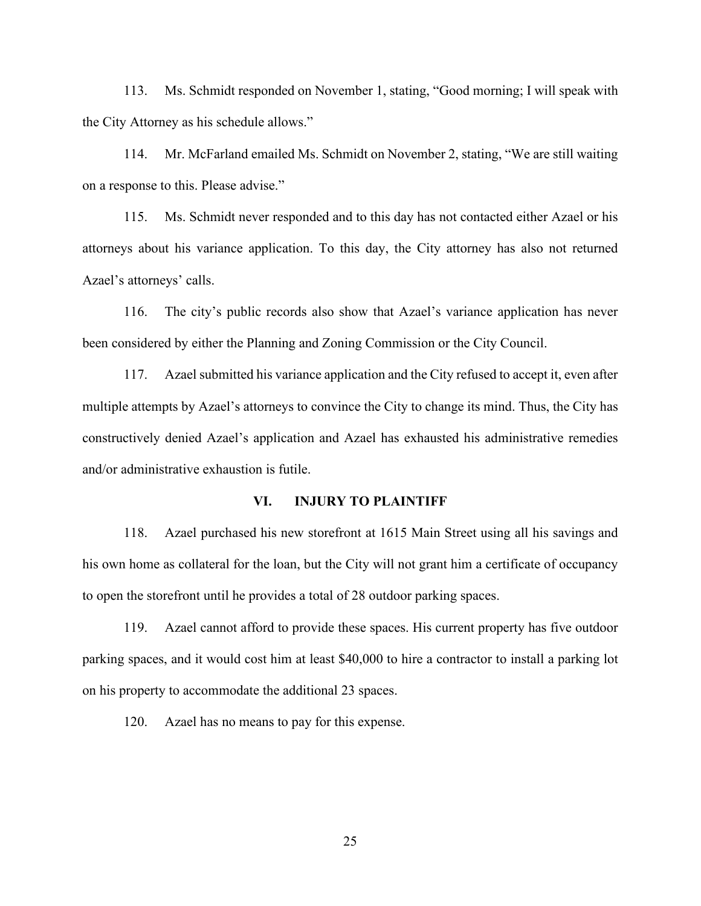113. Ms. Schmidt responded on November 1, stating, "Good morning; I will speak with the City Attorney as his schedule allows."

114. Mr. McFarland emailed Ms. Schmidt on November 2, stating, "We are still waiting on a response to this. Please advise."

115. Ms. Schmidt never responded and to this day has not contacted either Azael or his attorneys about his variance application. To this day, the City attorney has also not returned Azael's attorneys' calls.

116. The city's public records also show that Azael's variance application has never been considered by either the Planning and Zoning Commission or the City Council.

117. Azael submitted his variance application and the City refused to accept it, even after multiple attempts by Azael's attorneys to convince the City to change its mind. Thus, the City has constructively denied Azael's application and Azael has exhausted his administrative remedies and/or administrative exhaustion is futile.

## **VI. INJURY TO PLAINTIFF**

118. Azael purchased his new storefront at 1615 Main Street using all his savings and his own home as collateral for the loan, but the City will not grant him a certificate of occupancy to open the storefront until he provides a total of 28 outdoor parking spaces.

119. Azael cannot afford to provide these spaces. His current property has five outdoor parking spaces, and it would cost him at least \$40,000 to hire a contractor to install a parking lot on his property to accommodate the additional 23 spaces.

120. Azael has no means to pay for this expense.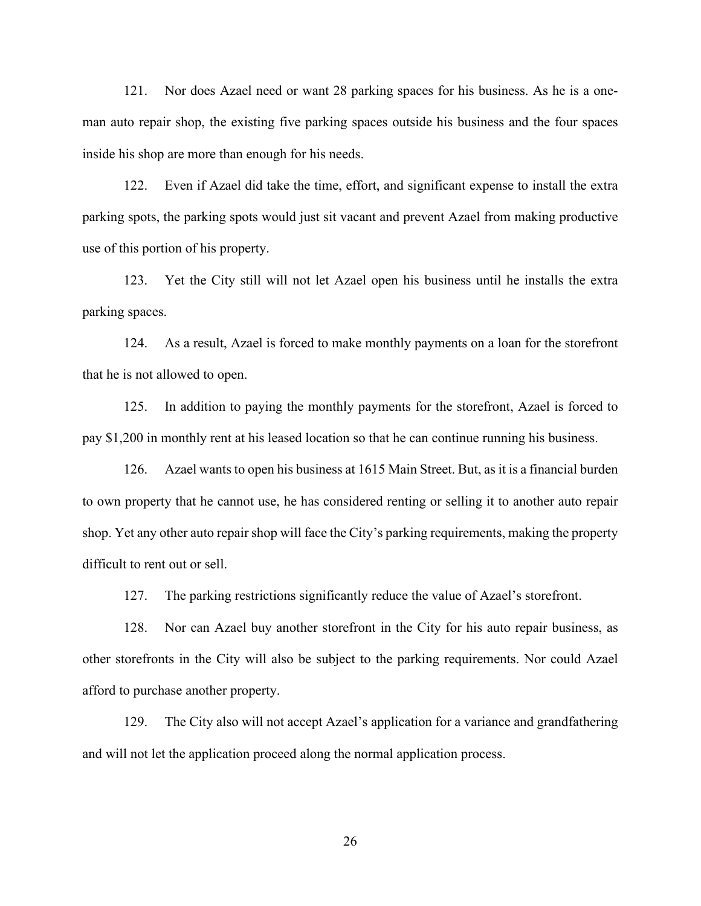121. Nor does Azael need or want 28 parking spaces for his business. As he is a oneman auto repair shop, the existing five parking spaces outside his business and the four spaces inside his shop are more than enough for his needs.

122. Even if Azael did take the time, effort, and significant expense to install the extra parking spots, the parking spots would just sit vacant and prevent Azael from making productive use of this portion of his property.

123. Yet the City still will not let Azael open his business until he installs the extra parking spaces.

124. As a result, Azael is forced to make monthly payments on a loan for the storefront that he is not allowed to open.

125. In addition to paying the monthly payments for the storefront, Azael is forced to pay \$1,200 in monthly rent at his leased location so that he can continue running his business.

126. Azael wants to open his business at 1615 Main Street. But, as it is a financial burden to own property that he cannot use, he has considered renting or selling it to another auto repair shop. Yet any other auto repair shop will face the City's parking requirements, making the property difficult to rent out or sell.

127. The parking restrictions significantly reduce the value of Azael's storefront.

128. Nor can Azael buy another storefront in the City for his auto repair business, as other storefronts in the City will also be subject to the parking requirements. Nor could Azael afford to purchase another property.

129. The City also will not accept Azael's application for a variance and grandfathering and will not let the application proceed along the normal application process.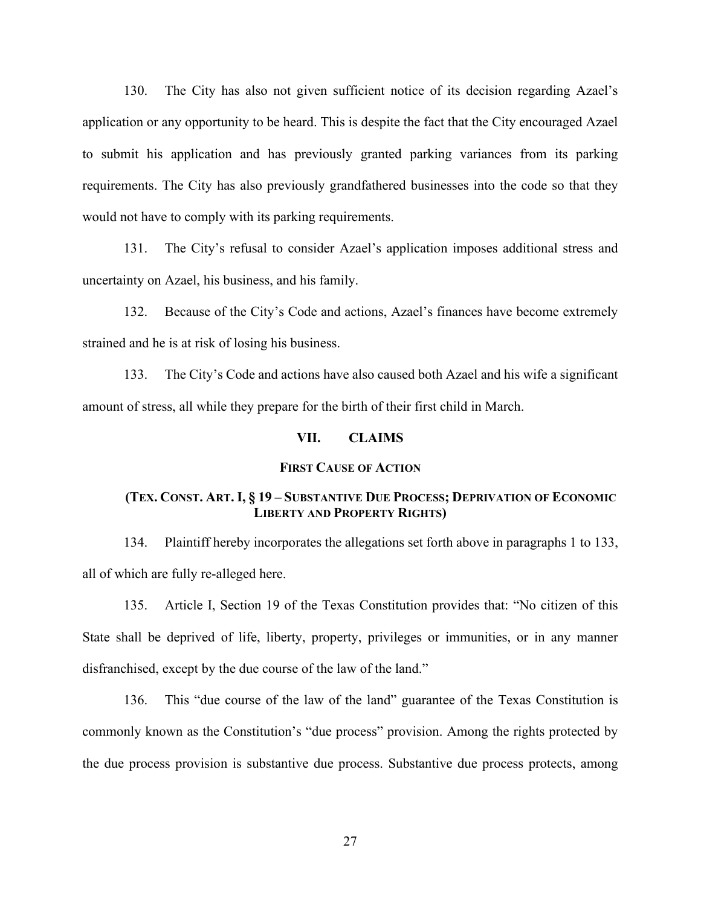130. The City has also not given sufficient notice of its decision regarding Azael's application or any opportunity to be heard. This is despite the fact that the City encouraged Azael to submit his application and has previously granted parking variances from its parking requirements. The City has also previously grandfathered businesses into the code so that they would not have to comply with its parking requirements.

131. The City's refusal to consider Azael's application imposes additional stress and uncertainty on Azael, his business, and his family.

132. Because of the City's Code and actions, Azael's finances have become extremely strained and he is at risk of losing his business.

133. The City's Code and actions have also caused both Azael and his wife a significant amount of stress, all while they prepare for the birth of their first child in March.

## **VII. CLAIMS**

### **FIRST CAUSE OF ACTION**

## **(TEX. CONST. ART. I, § 19 – SUBSTANTIVE DUE PROCESS; DEPRIVATION OF ECONOMIC LIBERTY AND PROPERTY RIGHTS)**

134. Plaintiff hereby incorporates the allegations set forth above in paragraphs 1 to 133, all of which are fully re-alleged here.

135. Article I, Section 19 of the Texas Constitution provides that: "No citizen of this State shall be deprived of life, liberty, property, privileges or immunities, or in any manner disfranchised, except by the due course of the law of the land."

136. This "due course of the law of the land" guarantee of the Texas Constitution is commonly known as the Constitution's "due process" provision. Among the rights protected by the due process provision is substantive due process. Substantive due process protects, among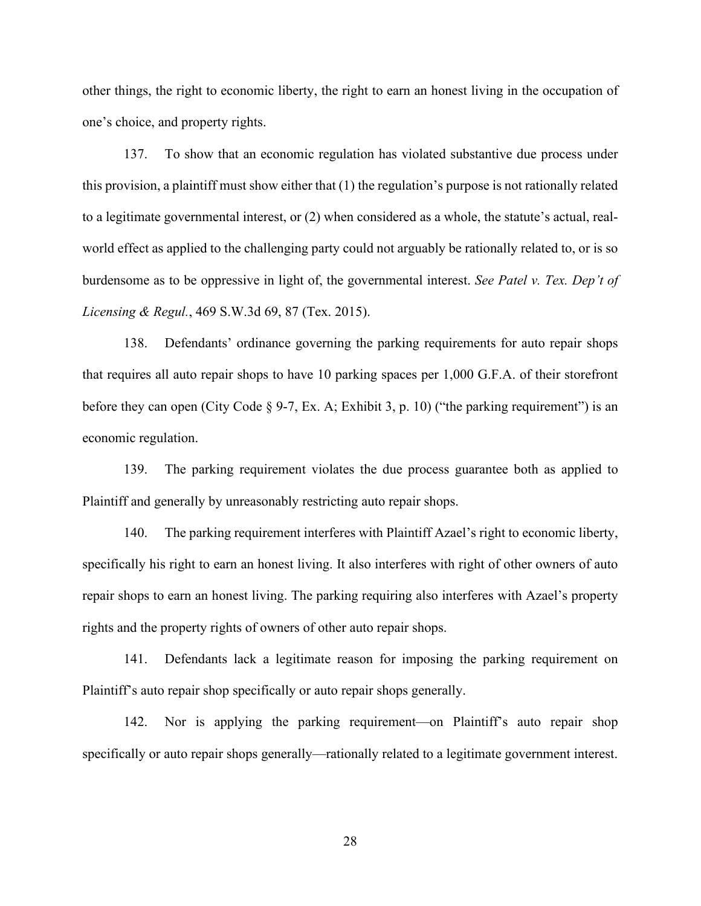other things, the right to economic liberty, the right to earn an honest living in the occupation of one's choice, and property rights.

137. To show that an economic regulation has violated substantive due process under this provision, a plaintiff must show either that (1) the regulation's purpose is not rationally related to a legitimate governmental interest, or (2) when considered as a whole, the statute's actual, realworld effect as applied to the challenging party could not arguably be rationally related to, or is so burdensome as to be oppressive in light of, the governmental interest. *See Patel v. Tex. Dep't of Licensing & Regul.*, 469 S.W.3d 69, 87 (Tex. 2015).

138. Defendants' ordinance governing the parking requirements for auto repair shops that requires all auto repair shops to have 10 parking spaces per 1,000 G.F.A. of their storefront before they can open (City Code § 9-7, Ex. A; Exhibit 3, p. 10) ("the parking requirement") is an economic regulation.

139. The parking requirement violates the due process guarantee both as applied to Plaintiff and generally by unreasonably restricting auto repair shops.

140. The parking requirement interferes with Plaintiff Azael's right to economic liberty, specifically his right to earn an honest living. It also interferes with right of other owners of auto repair shops to earn an honest living. The parking requiring also interferes with Azael's property rights and the property rights of owners of other auto repair shops.

141. Defendants lack a legitimate reason for imposing the parking requirement on Plaintiff's auto repair shop specifically or auto repair shops generally.

142. Nor is applying the parking requirement—on Plaintiff's auto repair shop specifically or auto repair shops generally—rationally related to a legitimate government interest.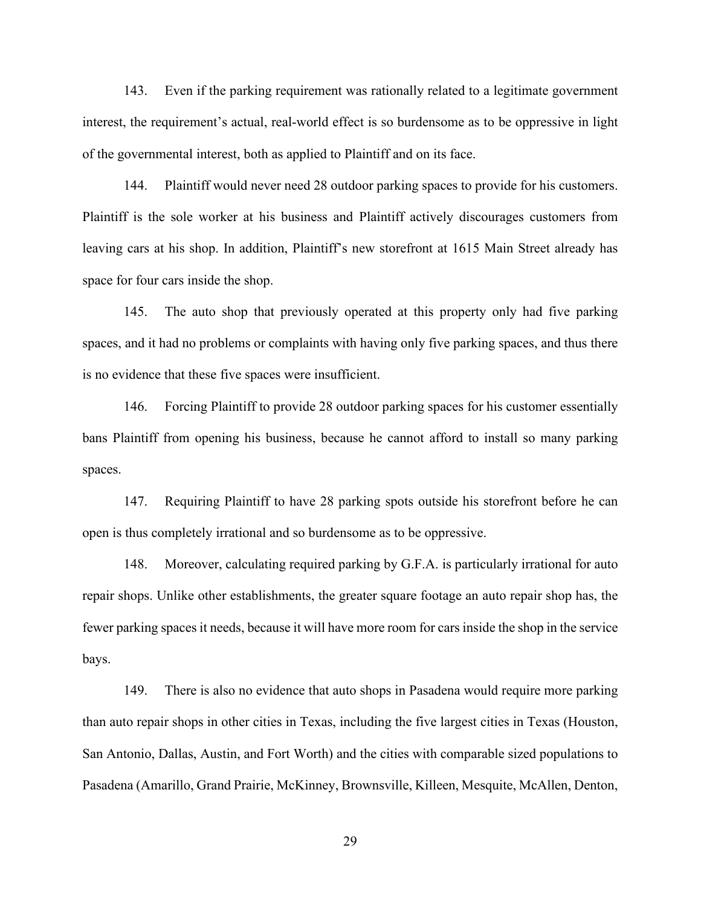143. Even if the parking requirement was rationally related to a legitimate government interest, the requirement's actual, real-world effect is so burdensome as to be oppressive in light of the governmental interest, both as applied to Plaintiff and on its face.

144. Plaintiff would never need 28 outdoor parking spaces to provide for his customers. Plaintiff is the sole worker at his business and Plaintiff actively discourages customers from leaving cars at his shop. In addition, Plaintiff's new storefront at 1615 Main Street already has space for four cars inside the shop.

145. The auto shop that previously operated at this property only had five parking spaces, and it had no problems or complaints with having only five parking spaces, and thus there is no evidence that these five spaces were insufficient.

146. Forcing Plaintiff to provide 28 outdoor parking spaces for his customer essentially bans Plaintiff from opening his business, because he cannot afford to install so many parking spaces.

147. Requiring Plaintiff to have 28 parking spots outside his storefront before he can open is thus completely irrational and so burdensome as to be oppressive.

148. Moreover, calculating required parking by G.F.A. is particularly irrational for auto repair shops. Unlike other establishments, the greater square footage an auto repair shop has, the fewer parking spaces it needs, because it will have more room for cars inside the shop in the service bays.

149. There is also no evidence that auto shops in Pasadena would require more parking than auto repair shops in other cities in Texas, including the five largest cities in Texas (Houston, San Antonio, Dallas, Austin, and Fort Worth) and the cities with comparable sized populations to Pasadena (Amarillo, Grand Prairie, McKinney, Brownsville, Killeen, Mesquite, McAllen, Denton,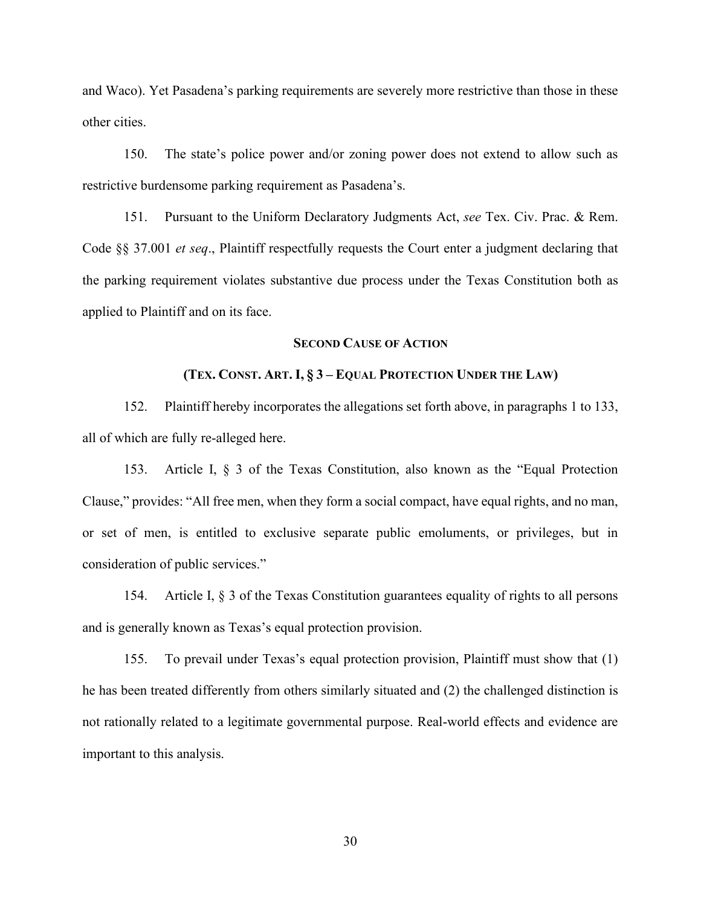and Waco). Yet Pasadena's parking requirements are severely more restrictive than those in these other cities.

150. The state's police power and/or zoning power does not extend to allow such as restrictive burdensome parking requirement as Pasadena's.

151. Pursuant to the Uniform Declaratory Judgments Act, *see* Tex. Civ. Prac. & Rem. Code §§ 37.001 *et seq*., Plaintiff respectfully requests the Court enter a judgment declaring that the parking requirement violates substantive due process under the Texas Constitution both as applied to Plaintiff and on its face.

#### **SECOND CAUSE OF ACTION**

## **(TEX. CONST. ART. I, § 3 – EQUAL PROTECTION UNDER THE LAW)**

152. Plaintiff hereby incorporates the allegations set forth above, in paragraphs 1 to 133, all of which are fully re-alleged here.

153. Article I, § 3 of the Texas Constitution, also known as the "Equal Protection Clause," provides: "All free men, when they form a social compact, have equal rights, and no man, or set of men, is entitled to exclusive separate public emoluments, or privileges, but in consideration of public services."

154. Article I, § 3 of the Texas Constitution guarantees equality of rights to all persons and is generally known as Texas's equal protection provision.

155. To prevail under Texas's equal protection provision, Plaintiff must show that (1) he has been treated differently from others similarly situated and (2) the challenged distinction is not rationally related to a legitimate governmental purpose. Real-world effects and evidence are important to this analysis.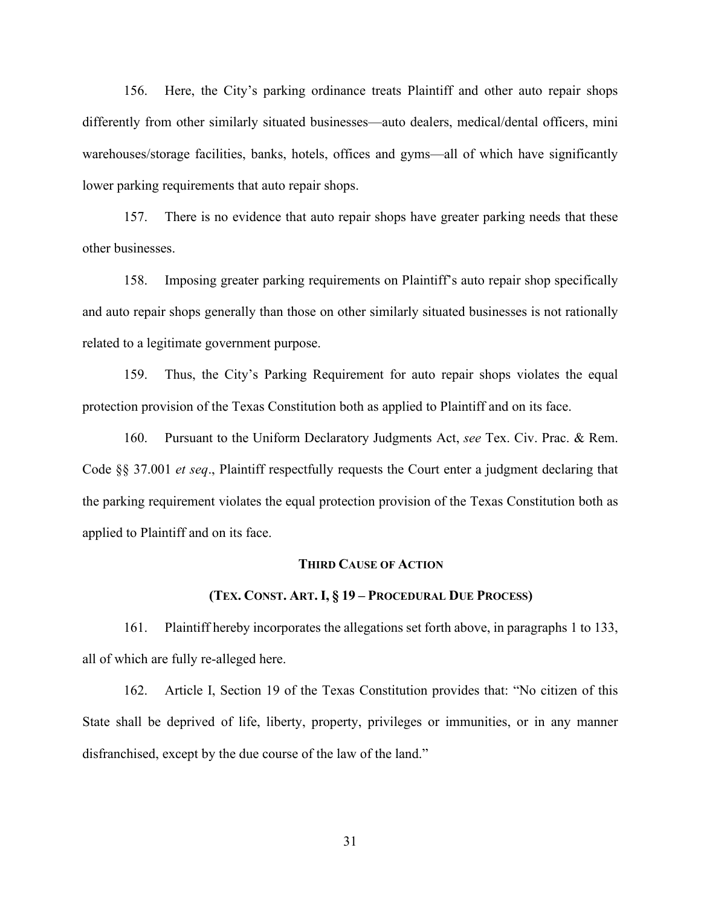156. Here, the City's parking ordinance treats Plaintiff and other auto repair shops differently from other similarly situated businesses—auto dealers, medical/dental officers, mini warehouses/storage facilities, banks, hotels, offices and gyms—all of which have significantly lower parking requirements that auto repair shops.

157. There is no evidence that auto repair shops have greater parking needs that these other businesses.

158. Imposing greater parking requirements on Plaintiff's auto repair shop specifically and auto repair shops generally than those on other similarly situated businesses is not rationally related to a legitimate government purpose.

159. Thus, the City's Parking Requirement for auto repair shops violates the equal protection provision of the Texas Constitution both as applied to Plaintiff and on its face.

160. Pursuant to the Uniform Declaratory Judgments Act, *see* Tex. Civ. Prac. & Rem. Code §§ 37.001 *et seq*., Plaintiff respectfully requests the Court enter a judgment declaring that the parking requirement violates the equal protection provision of the Texas Constitution both as applied to Plaintiff and on its face.

#### **THIRD CAUSE OF ACTION**

#### **(TEX. CONST. ART. I, § 19 – PROCEDURAL DUE PROCESS)**

161. Plaintiff hereby incorporates the allegations set forth above, in paragraphs 1 to 133, all of which are fully re-alleged here.

162. Article I, Section 19 of the Texas Constitution provides that: "No citizen of this State shall be deprived of life, liberty, property, privileges or immunities, or in any manner disfranchised, except by the due course of the law of the land."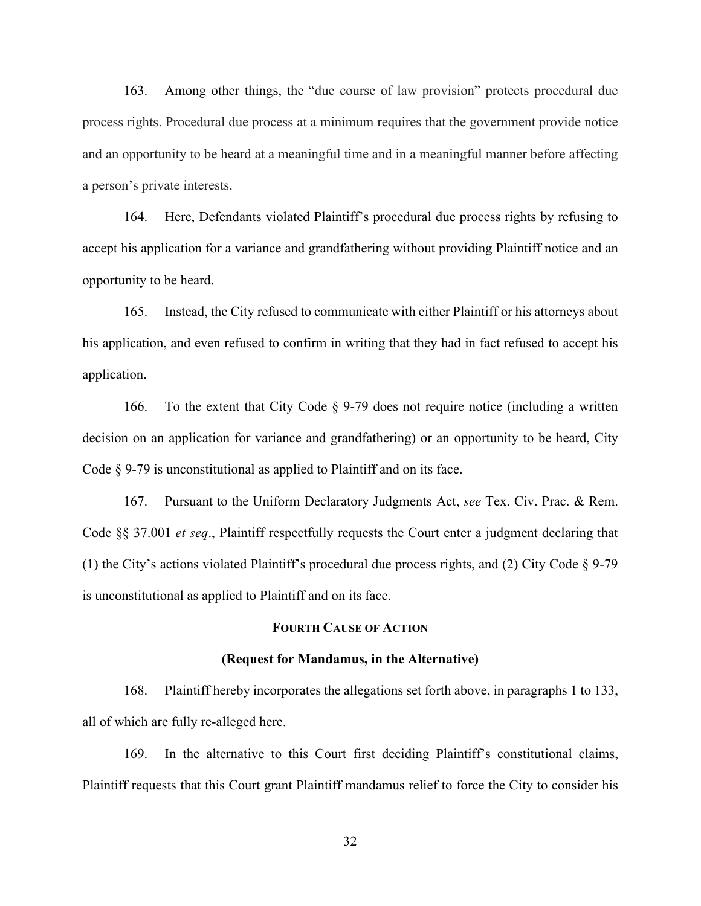163. Among other things, the "due course of law provision" protects procedural due process rights. Procedural due process at a minimum requires that the government provide notice and an opportunity to be heard at a meaningful time and in a meaningful manner before affecting a person's private interests.

164. Here, Defendants violated Plaintiff's procedural due process rights by refusing to accept his application for a variance and grandfathering without providing Plaintiff notice and an opportunity to be heard.

165. Instead, the City refused to communicate with either Plaintiff or his attorneys about his application, and even refused to confirm in writing that they had in fact refused to accept his application.

166. To the extent that City Code § 9-79 does not require notice (including a written decision on an application for variance and grandfathering) or an opportunity to be heard, City Code § 9-79 is unconstitutional as applied to Plaintiff and on its face.

167. Pursuant to the Uniform Declaratory Judgments Act, *see* Tex. Civ. Prac. & Rem. Code §§ 37.001 *et seq*., Plaintiff respectfully requests the Court enter a judgment declaring that (1) the City's actions violated Plaintiff's procedural due process rights, and (2) City Code § 9-79 is unconstitutional as applied to Plaintiff and on its face.

## **FOURTH CAUSE OF ACTION**

#### **(Request for Mandamus, in the Alternative)**

168. Plaintiff hereby incorporates the allegations set forth above, in paragraphs 1 to 133, all of which are fully re-alleged here.

169. In the alternative to this Court first deciding Plaintiff's constitutional claims, Plaintiff requests that this Court grant Plaintiff mandamus relief to force the City to consider his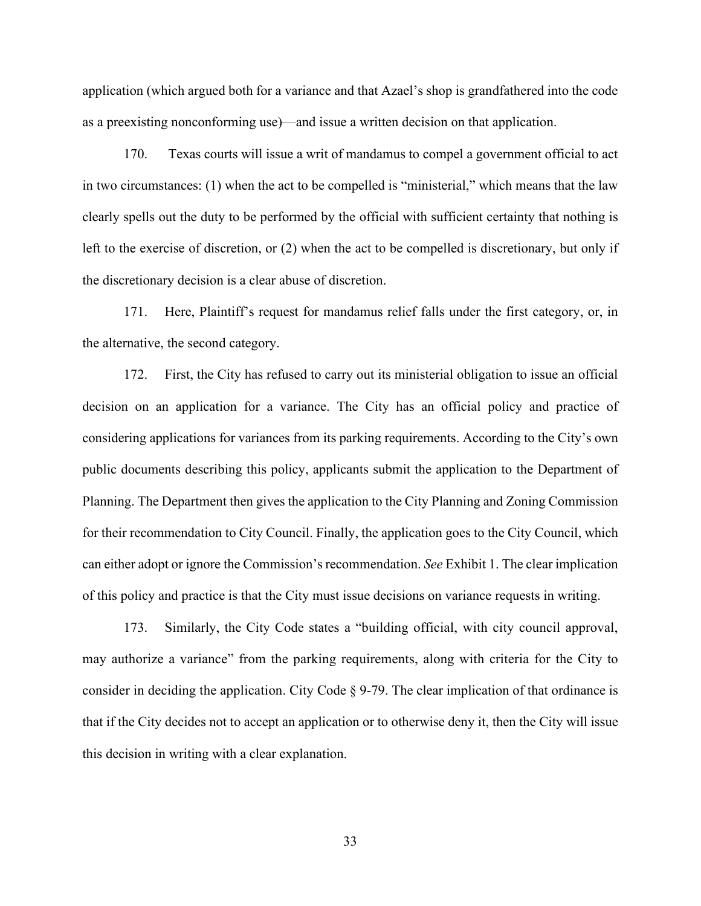application (which argued both for a variance and that Azael's shop is grandfathered into the code as a preexisting nonconforming use)—and issue a written decision on that application.

170. Texas courts will issue a writ of mandamus to compel a government official to act in two circumstances: (1) when the act to be compelled is "ministerial," which means that the law clearly spells out the duty to be performed by the official with sufficient certainty that nothing is left to the exercise of discretion, or (2) when the act to be compelled is discretionary, but only if the discretionary decision is a clear abuse of discretion.

171. Here, Plaintiff's request for mandamus relief falls under the first category, or, in the alternative, the second category.

172. First, the City has refused to carry out its ministerial obligation to issue an official decision on an application for a variance. The City has an official policy and practice of considering applications for variances from its parking requirements. According to the City's own public documents describing this policy, applicants submit the application to the Department of Planning. The Department then gives the application to the City Planning and Zoning Commission for their recommendation to City Council. Finally, the application goes to the City Council, which can either adopt or ignore the Commission's recommendation. *See* Exhibit 1. The clear implication of this policy and practice is that the City must issue decisions on variance requests in writing.

173. Similarly, the City Code states a "building official, with city council approval, may authorize a variance" from the parking requirements, along with criteria for the City to consider in deciding the application. City Code § 9-79. The clear implication of that ordinance is that if the City decides not to accept an application or to otherwise deny it, then the City will issue this decision in writing with a clear explanation.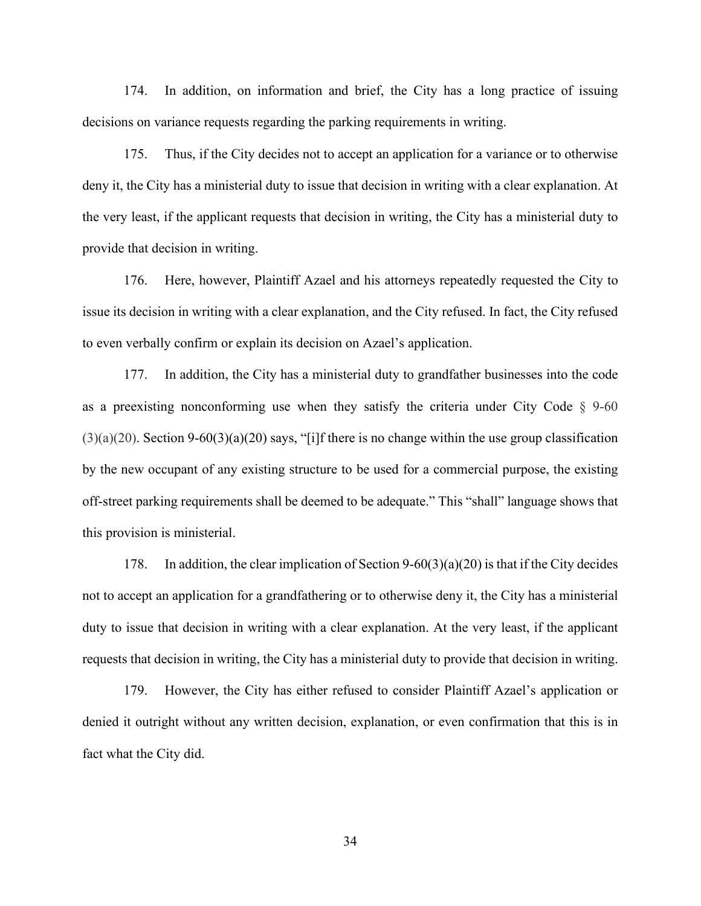174. In addition, on information and brief, the City has a long practice of issuing decisions on variance requests regarding the parking requirements in writing.

175. Thus, if the City decides not to accept an application for a variance or to otherwise deny it, the City has a ministerial duty to issue that decision in writing with a clear explanation. At the very least, if the applicant requests that decision in writing, the City has a ministerial duty to provide that decision in writing.

176. Here, however, Plaintiff Azael and his attorneys repeatedly requested the City to issue its decision in writing with a clear explanation, and the City refused. In fact, the City refused to even verbally confirm or explain its decision on Azael's application.

177. In addition, the City has a ministerial duty to grandfather businesses into the code as a preexisting nonconforming use when they satisfy the criteria under City Code  $\S$  9-60  $(3)(a)(20)$ . Section 9-60 $(3)(a)(20)$  says, "[i]f there is no change within the use group classification by the new occupant of any existing structure to be used for a commercial purpose, the existing off-street parking requirements shall be deemed to be adequate." This "shall" language shows that this provision is ministerial.

178. In addition, the clear implication of Section 9-60(3)(a)(20) is that if the City decides not to accept an application for a grandfathering or to otherwise deny it, the City has a ministerial duty to issue that decision in writing with a clear explanation. At the very least, if the applicant requests that decision in writing, the City has a ministerial duty to provide that decision in writing.

179. However, the City has either refused to consider Plaintiff Azael's application or denied it outright without any written decision, explanation, or even confirmation that this is in fact what the City did.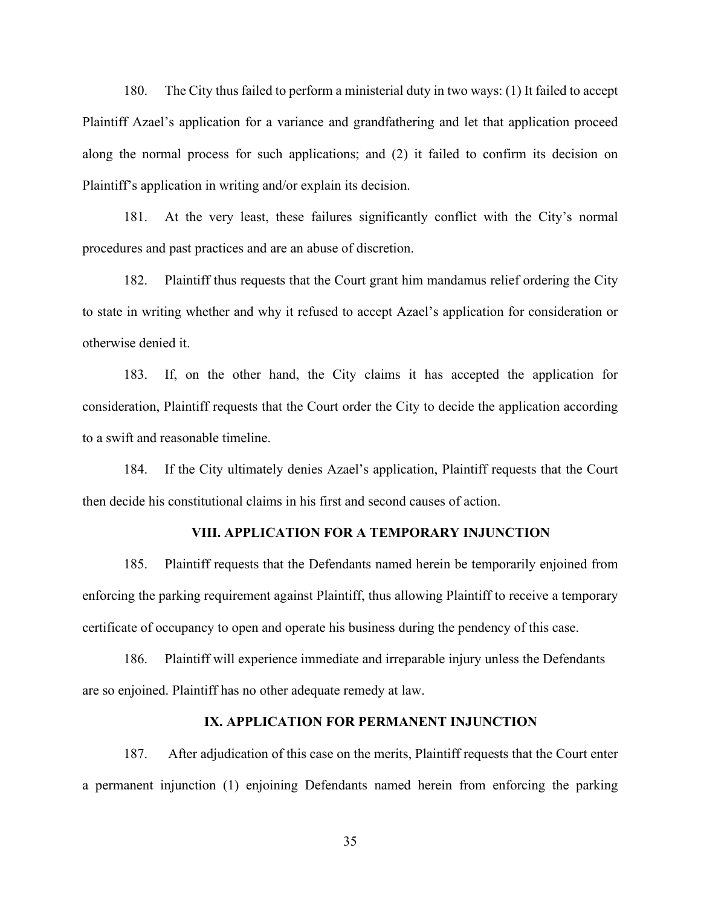180. The City thus failed to perform a ministerial duty in two ways: (1) It failed to accept Plaintiff Azael's application for a variance and grandfathering and let that application proceed along the normal process for such applications; and (2) it failed to confirm its decision on Plaintiff's application in writing and/or explain its decision.

181. At the very least, these failures significantly conflict with the City's normal procedures and past practices and are an abuse of discretion.

182. Plaintiff thus requests that the Court grant him mandamus relief ordering the City to state in writing whether and why it refused to accept Azael's application for consideration or otherwise denied it.

183. If, on the other hand, the City claims it has accepted the application for consideration, Plaintiff requests that the Court order the City to decide the application according to a swift and reasonable timeline.

184. If the City ultimately denies Azael's application, Plaintiff requests that the Court then decide his constitutional claims in his first and second causes of action.

#### **VIII. APPLICATION FOR A TEMPORARY INJUNCTION**

185. Plaintiff requests that the Defendants named herein be temporarily enjoined from enforcing the parking requirement against Plaintiff, thus allowing Plaintiff to receive a temporary certificate of occupancy to open and operate his business during the pendency of this case.

186. Plaintiff will experience immediate and irreparable injury unless the Defendants are so enjoined. Plaintiff has no other adequate remedy at law.

### **IX. APPLICATION FOR PERMANENT INJUNCTION**

187. After adjudication of this case on the merits, Plaintiff requests that the Court enter a permanent injunction (1) enjoining Defendants named herein from enforcing the parking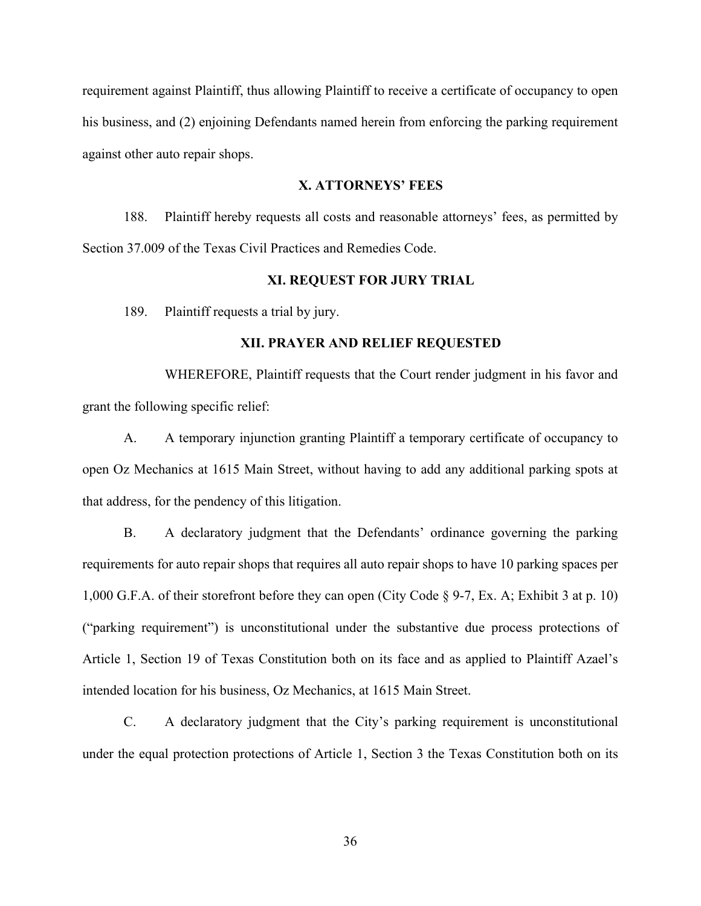requirement against Plaintiff, thus allowing Plaintiff to receive a certificate of occupancy to open his business, and (2) enjoining Defendants named herein from enforcing the parking requirement against other auto repair shops.

## **X. ATTORNEYS' FEES**

188. Plaintiff hereby requests all costs and reasonable attorneys' fees, as permitted by Section 37.009 of the Texas Civil Practices and Remedies Code.

#### **XI. REQUEST FOR JURY TRIAL**

189. Plaintiff requests a trial by jury.

### **XII. PRAYER AND RELIEF REQUESTED**

WHEREFORE, Plaintiff requests that the Court render judgment in his favor and grant the following specific relief:

A. A temporary injunction granting Plaintiff a temporary certificate of occupancy to open Oz Mechanics at 1615 Main Street, without having to add any additional parking spots at that address, for the pendency of this litigation.

B. A declaratory judgment that the Defendants' ordinance governing the parking requirements for auto repair shops that requires all auto repair shops to have 10 parking spaces per 1,000 G.F.A. of their storefront before they can open (City Code § 9-7, Ex. A; Exhibit 3 at p. 10) ("parking requirement") is unconstitutional under the substantive due process protections of Article 1, Section 19 of Texas Constitution both on its face and as applied to Plaintiff Azael's intended location for his business, Oz Mechanics, at 1615 Main Street.

C. A declaratory judgment that the City's parking requirement is unconstitutional under the equal protection protections of Article 1, Section 3 the Texas Constitution both on its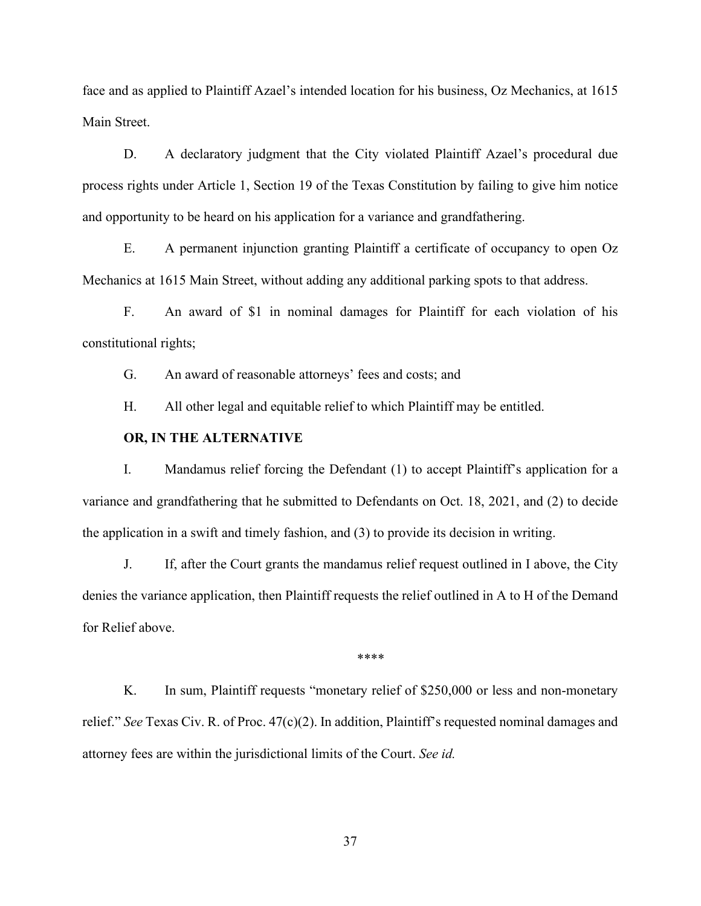face and as applied to Plaintiff Azael's intended location for his business, Oz Mechanics, at 1615 Main Street.

D. A declaratory judgment that the City violated Plaintiff Azael's procedural due process rights under Article 1, Section 19 of the Texas Constitution by failing to give him notice and opportunity to be heard on his application for a variance and grandfathering.

E. A permanent injunction granting Plaintiff a certificate of occupancy to open Oz Mechanics at 1615 Main Street, without adding any additional parking spots to that address.

F. An award of \$1 in nominal damages for Plaintiff for each violation of his constitutional rights;

G. An award of reasonable attorneys' fees and costs; and

H. All other legal and equitable relief to which Plaintiff may be entitled.

## **OR, IN THE ALTERNATIVE**

I. Mandamus relief forcing the Defendant (1) to accept Plaintiff's application for a variance and grandfathering that he submitted to Defendants on Oct. 18, 2021, and (2) to decide the application in a swift and timely fashion, and (3) to provide its decision in writing.

J. If, after the Court grants the mandamus relief request outlined in I above, the City denies the variance application, then Plaintiff requests the relief outlined in A to H of the Demand for Relief above.

\*\*\*\*

K. In sum, Plaintiff requests "monetary relief of \$250,000 or less and non-monetary relief." *See* Texas Civ. R. of Proc. 47(c)(2). In addition, Plaintiff's requested nominal damages and attorney fees are within the jurisdictional limits of the Court. *See id.*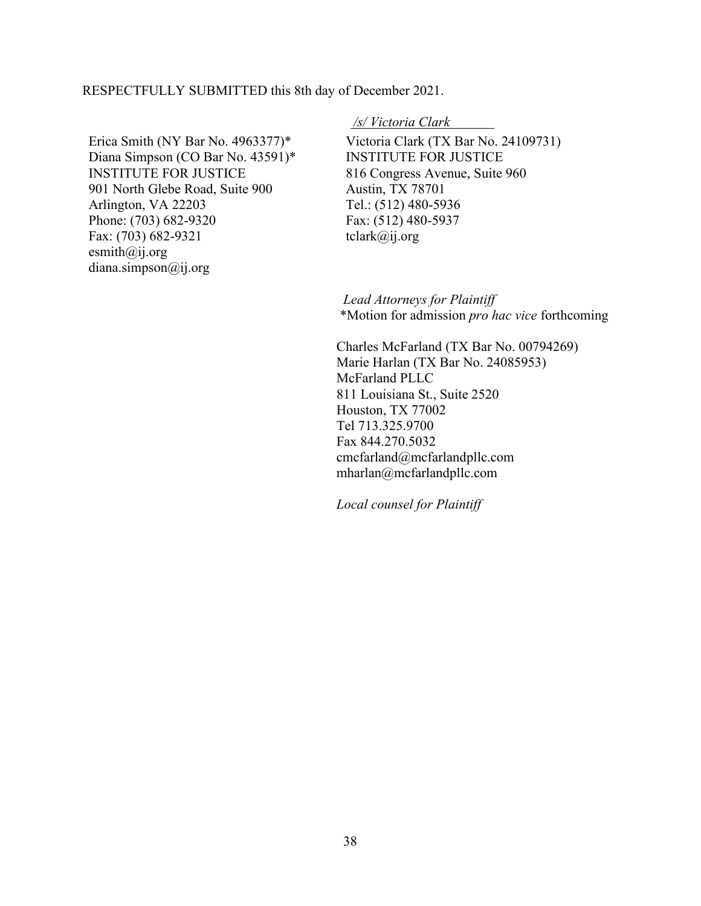RESPECTFULLY SUBMITTED this 8th day of December 2021.

Erica Smith (NY Bar No. 4963377)\* Diana Simpson (CO Bar No. 43591)\* INSTITUTE FOR JUSTICE 901 North Glebe Road, Suite 900 Arlington, VA 22203 Phone: (703) 682-9320 Fax: (703) 682-9321 esmith $(a)$ ij.org diana.simpson@ij.org

### */s/ Victoria Clark*

Victoria Clark (TX Bar No. 24109731) INSTITUTE FOR JUSTICE 816 Congress Avenue, Suite 960 Austin, TX 78701 Tel.: (512) 480-5936 Fax: (512) 480-5937 tclark@ij.org

 *Lead Attorneys for Plaintiff* \*Motion for admission *pro hac vice* forthcoming

 Charles McFarland (TX Bar No. 00794269) Marie Harlan (TX Bar No. 24085953) McFarland PLLC 811 Louisiana St., Suite 2520 Houston, TX 77002 Tel 713.325.9700 Fax 844.270.5032 cmcfarland@mcfarlandpllc.com mharlan@mcfarlandpllc.com

 *Local counsel for Plaintiff*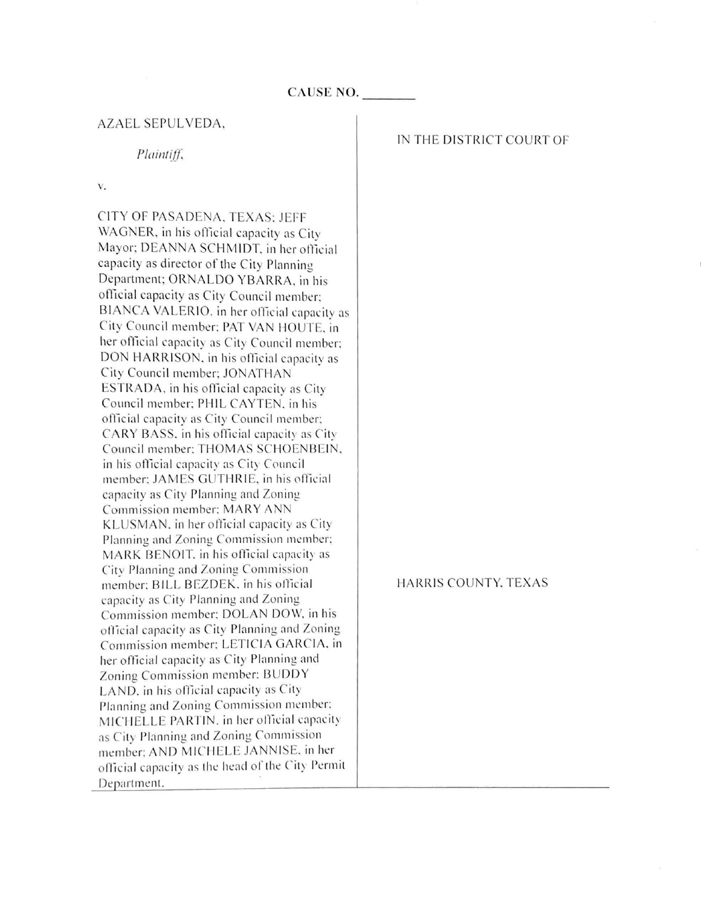## AZAEL SEPULVEDA,

## *Pluintijj;*

V.

CITY OF PASADENA, TEXAS: JEFF WAGNER, in his official capacity as City Mayor; DEANNA SCHMIDT, in her official capacity as director of the City Planning Department; ORNALDO YBARRA, in his official capacity as City Council member; BIANCA VALERIO. in her official capacity as City Council member: PAT VAN HOUTE, in her official capacity as City Council member; DON HARRISON, in his official capacity as City Council member; JONATHAN ESTRADA, in his official capacity as City Council member; PHIL CAYTEN, in his official capacity as City Council member; CARY BASS, in his official capacity as City Council member: THOMAS SCHOENBEIN, in his official capacity as City Council member; JAMES GUTHRIE, in his official capacity as City Planning and Zoning Commission member: MARY A KLUSMAN, in her official capacity as City Planning and Zoning Commission member: MARK BENOIT, in his official capacity as City Planning and Zoning Commission member; BILL BEZDEK, in his official capac ity as City Planning and Zoning Commission member: DOLAN DOW, in his official capacity as City Planning and Zoning Commission member: LETICIA GARCIA, in her official capacity as City Planning and Zoning Commission member: BUDDY LAND, in his official capacity as City Planning and Zoning Commission member: MICHELLE PARTIN, in her official capacity as City Planning and Zoning Commission member: AND MICHELE JANNISE. in her official capacity as the head of the City Permit Department,

### IN THE DISTRICT COURT OF

HARRIS COUNTY, TEXAS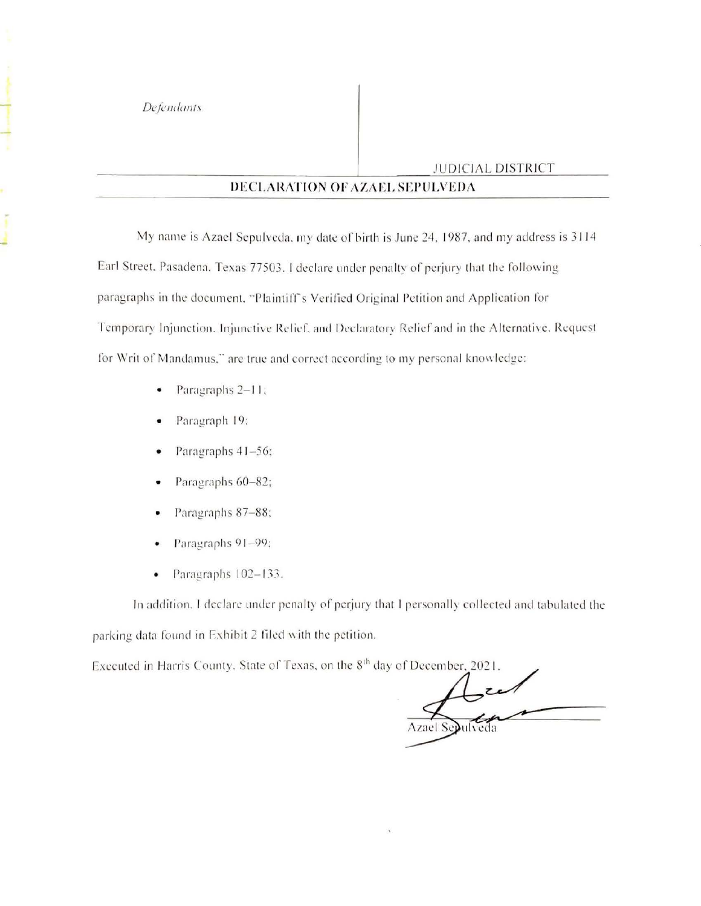..!

## JUDICIAL DISTRICT

## **DECLARATION OF AZAEL SEPULVEDA**

My name is Azael Sepulveda, my date of birth is June 24, 1987, and my address is 3114 Earl Street. Pasadena, Texas 77503. I declare under penalty of perjury that the following paragraphs in the document. "Plaintiff's Verified Original Petition and Application for Temporary Injunction. Injunctive Relief, and Declaratory Relief and in the Alternative. Request for Writ of Mandamus," are true and correct according to my personal knowledge:

- Paragraphs 2-11;
- Paragraph 19:
- Paragraphs 41-56;
- Paragraphs 60-82;
- Paragraphs 87-88;
- Paragraphs 91-99:
- Paragraphs  $102-133$ .

In addition. I declare under penalty of perjury that I personally collected and tabulated the parking data found in Exhibit 2 filed with the petition.

Executed in Harris County, State of Texas, on the 8<sup>th</sup> day of December, 2021.

Azael Se**p**